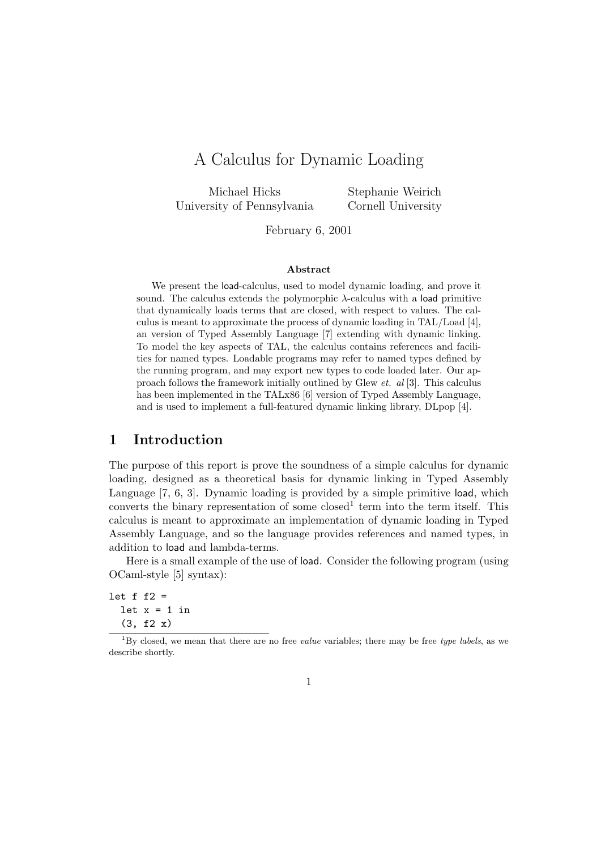# A Calculus for Dynamic Loading

Michael Hicks University of Pennsylvania

Stephanie Weirich Cornell University

February 6, 2001

#### Abstract

We present the load-calculus, used to model dynamic loading, and prove it sound. The calculus extends the polymorphic  $\lambda$ -calculus with a load primitive that dynamically loads terms that are closed, with respect to values. The calculus is meant to approximate the process of dynamic loading in TAL/Load [4], an version of Typed Assembly Language [7] extending with dynamic linking. To model the key aspects of TAL, the calculus contains references and facilities for named types. Loadable programs may refer to named types defined by the running program, and may export new types to code loaded later. Our approach follows the framework initially outlined by Glew et. al [3]. This calculus has been implemented in the TALx86 [6] version of Typed Assembly Language, and is used to implement a full-featured dynamic linking library, DLpop [4].

# 1 Introduction

The purpose of this report is prove the soundness of a simple calculus for dynamic loading, designed as a theoretical basis for dynamic linking in Typed Assembly Language [7, 6, 3]. Dynamic loading is provided by a simple primitive load, which converts the binary representation of some closed<sup>1</sup> term into the term itself. This calculus is meant to approximate an implementation of dynamic loading in Typed Assembly Language, and so the language provides references and named types, in addition to load and lambda-terms.

Here is a small example of the use of load. Consider the following program (using OCaml-style [5] syntax):

let  $f f2 =$ let  $x = 1$  in (3, f2 x)

 $1By$  closed, we mean that there are no free *value* variables; there may be free *type labels*, as we describe shortly.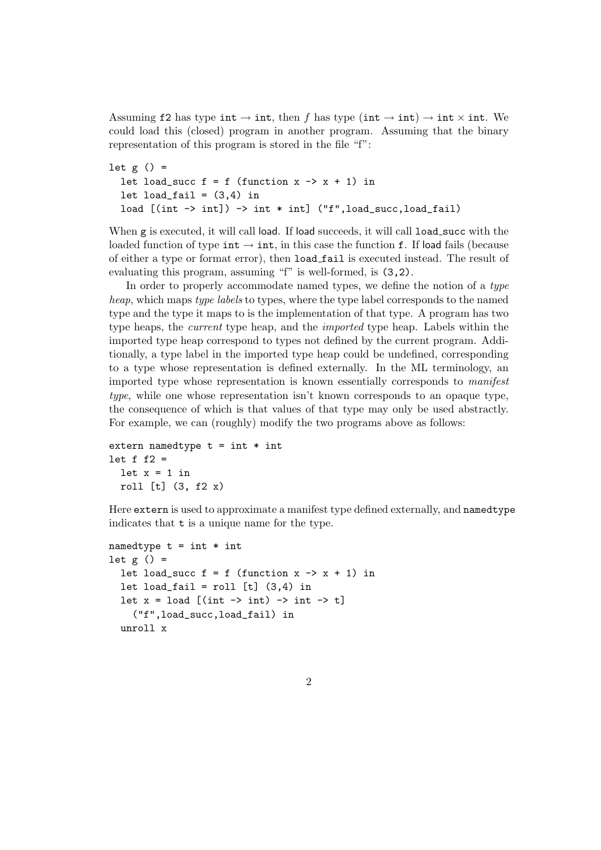Assuming f2 has type int  $\rightarrow$  int, then f has type (int  $\rightarrow$  int)  $\rightarrow$  int  $\times$  int. We could load this (closed) program in another program. Assuming that the binary representation of this program is stored in the file "f":

```
let g() =let load_succ f = f (function x \rightarrow x + 1) in
  let load_fail = (3,4) in
  load [(int ->int]) -> int * int] ("f",load\_succ,load\_fail)
```
When g is executed, it will call load. If load succeeds, it will call load\_succ with the loaded function of type int  $\rightarrow$  int, in this case the function f. If load fails (because of either a type or format error), then load fail is executed instead. The result of evaluating this program, assuming "f" is well-formed, is (3,2).

In order to properly accommodate named types, we define the notion of a type heap, which maps type labels to types, where the type label corresponds to the named type and the type it maps to is the implementation of that type. A program has two type heaps, the current type heap, and the imported type heap. Labels within the imported type heap correspond to types not defined by the current program. Additionally, a type label in the imported type heap could be undefined, corresponding to a type whose representation is defined externally. In the ML terminology, an imported type whose representation is known essentially corresponds to manifest type, while one whose representation isn't known corresponds to an opaque type, the consequence of which is that values of that type may only be used abstractly. For example, we can (roughly) modify the two programs above as follows:

```
extern namedtype t = int * intlet f f2 =let x = 1 in
 roll [t] (3, f2 x)
```
Here extern is used to approximate a manifest type defined externally, and namedtype indicates that t is a unique name for the type.

```
namedtype t = int * intlet g() =let load_succ f = f (function x \rightarrow x + 1) in
  let load_fail = roll [t] (3,4) in
  let x = load [(int \rightarrow int) \rightarrow int \rightarrow t]
     ("f",load_succ,load_fail) in
  unroll x
```
 $\overline{2}$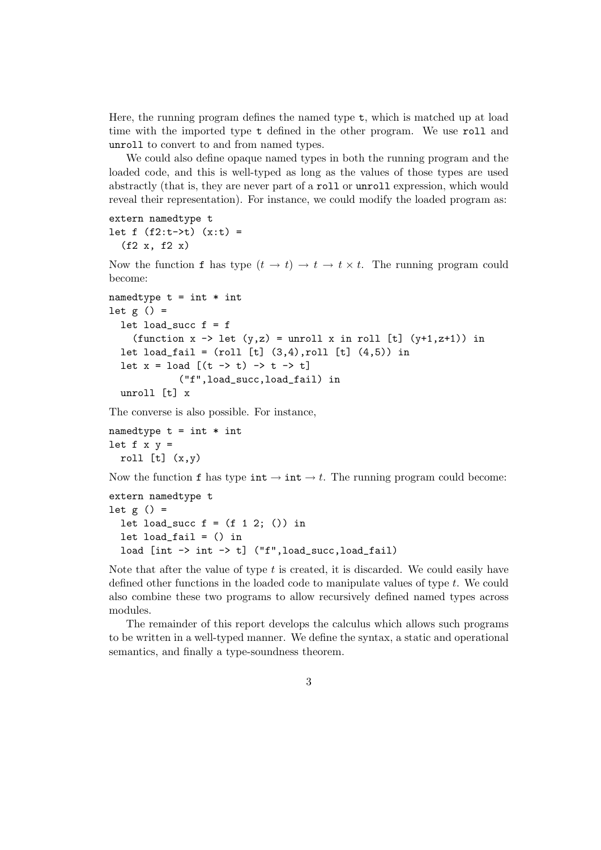Here, the running program defines the named type t, which is matched up at load time with the imported type t defined in the other program. We use roll and unroll to convert to and from named types.

We could also define opaque named types in both the running program and the loaded code, and this is well-typed as long as the values of those types are used abstractly (that is, they are never part of a roll or unroll expression, which would reveal their representation). For instance, we could modify the loaded program as:

```
extern namedtype t
let f(f2:t\rightarrow t) (x:t) =
  (f2 x, f2 x)
```
Now the function f has type  $(t \to t) \to t \to t \times t$ . The running program could become:

```
namedtype t = int * intlet g() =let load_succ f = f
    (function x \rightarrow let (y, z) = unroll x in roll [t] (y+1, z+1)) in
  let load_fail = (roll [t] (3,4), roll [t] (4,5)) in
  let x = load [(t \rightarrow t) \rightarrow t \rightarrow t]("f",load_succ,load_fail) in
  unroll [t] x
```
The converse is also possible. For instance,

namedtype  $t = int * int$ let  $f \times y =$ roll  $[t]$   $(x,y)$ 

Now the function f has type  $\text{int} \rightarrow \text{int} \rightarrow t$ . The running program could become:

```
extern namedtype t
let g() =let load_succ f = (f 1 2; ...) in
  let load\_fail = () in
  load [int -> int -> t] ("f",load_succ,load_fail)
```
Note that after the value of type  $t$  is created, it is discarded. We could easily have defined other functions in the loaded code to manipulate values of type t. We could also combine these two programs to allow recursively defined named types across modules.

The remainder of this report develops the calculus which allows such programs to be written in a well-typed manner. We define the syntax, a static and operational semantics, and finally a type-soundness theorem.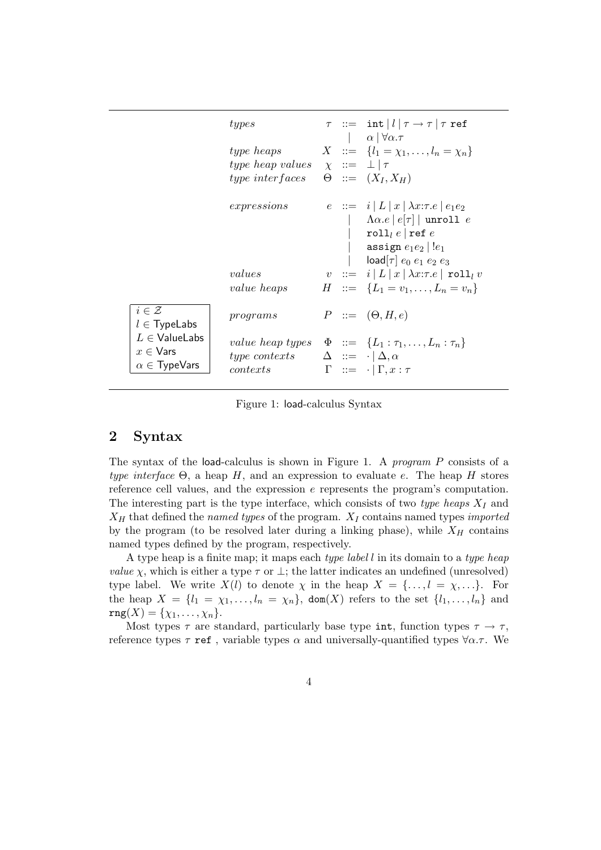|                                                                                                                 | types                                                                        |  | $\tau$ := int $ l \tau \rightarrow \tau \tau$ ref<br>$\alpha \mid \forall \alpha . \tau$                                                                                                          |
|-----------------------------------------------------------------------------------------------------------------|------------------------------------------------------------------------------|--|---------------------------------------------------------------------------------------------------------------------------------------------------------------------------------------------------|
|                                                                                                                 | type heaps<br>type heap values $\chi ::= \perp   \tau$<br>$type\ interfaces$ |  | $X := \{l_1 = \chi_1, \ldots, l_n = \chi_n\}$<br>$\Theta$ ::= $(X_I, X_H)$                                                                                                                        |
|                                                                                                                 | expressions                                                                  |  | $e := i  L x  \lambda x : \tau.e  e_1e_2 $<br>$\Lambda \alpha . e \mid e[\tau] \mid$ unroll e<br>roll $_{l}$ e ref e<br>assign $e_1e_2\, \,!e_1$<br>$\textsf{load}[\tau]$ $e_0$ $e_1$ $e_2$ $e_3$ |
|                                                                                                                 | values<br>value heaps                                                        |  | $v \ ::= \ i \   \ L \   \ x \   \ \lambda x{:}\tau.e \   \ \mathtt{roll}_l \ v$<br>$H \ ::= \ \{L_1 = v_1, \ldots, L_n = v_n\}$                                                                  |
| $i \in \mathcal{Z}$<br>$l \in$ TypeLabs<br>$L \in$ ValueLabs<br>$x \in V$ ars<br>$\alpha \in \mathsf{TypeVars}$ | programs                                                                     |  | $P ::= (\Theta, H, e)$                                                                                                                                                                            |
|                                                                                                                 | type contexts $\Delta := \langle \Delta, \alpha \rangle$<br>contexts         |  | value heap types $\Phi ::= \{L_1 : \tau_1, \ldots, L_n : \tau_n\}$<br>$\Gamma$ ::= $\cdot   \Gamma, x : \tau$                                                                                     |

Figure 1: load-calculus Syntax

# 2 Syntax

The syntax of the load-calculus is shown in Figure 1. A program P consists of a type interface  $\Theta$ , a heap H, and an expression to evaluate e. The heap H stores reference cell values, and the expression e represents the program's computation. The interesting part is the type interface, which consists of two type heaps  $X_I$  and  $X_H$  that defined the named types of the program.  $X_I$  contains named types *imported* by the program (to be resolved later during a linking phase), while  $X_H$  contains named types defined by the program, respectively.

A type heap is a finite map; it maps each type label l in its domain to a type heap *value*  $\chi$ , which is either a type  $\tau$  or  $\perp$ ; the latter indicates an undefined (unresolved) type label. We write  $X(l)$  to denote  $\chi$  in the heap  $X = \{\ldots, l = \chi, \ldots\}$ . For the heap  $X = \{l_1 = \chi_1, \ldots, l_n = \chi_n\}$ , dom(X) refers to the set  $\{l_1, \ldots, l_n\}$  and  $rng(X) = \{ \chi_1, \ldots, \chi_n \}.$ 

Most types  $\tau$  are standard, particularly base type int, function types  $\tau \to \tau$ , reference types  $\tau$  ref, variable types  $\alpha$  and universally-quantified types  $\forall \alpha.\tau$ . We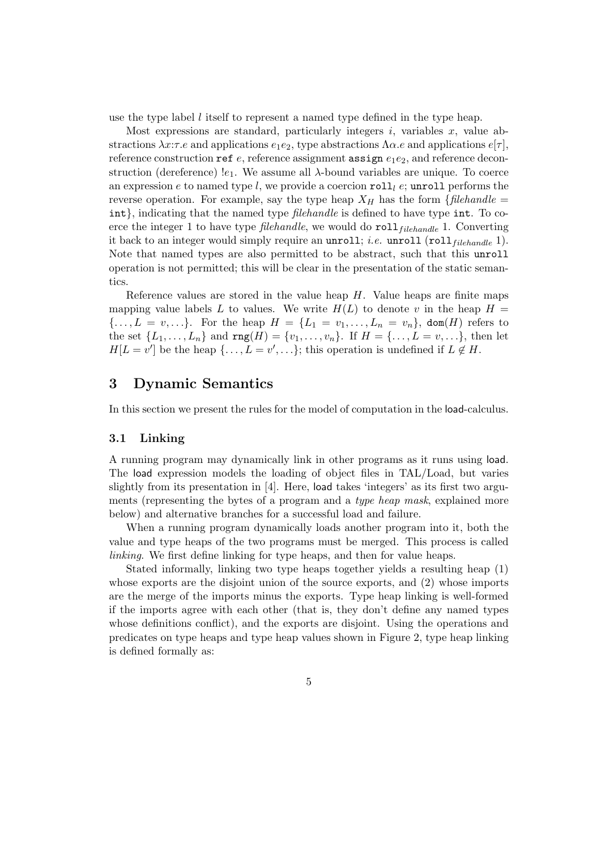use the type label l itself to represent a named type defined in the type heap.

Most expressions are standard, particularly integers  $i$ , variables  $x$ , value abstractions  $\lambda x:\tau.e$  and applications  $e_1e_2$ , type abstractions  $\Lambda \alpha.e$  and applications  $e[\tau]$ , reference construction ref  $e$ , reference assignment assign  $e_1e_2$ , and reference deconstruction (dereference)  $e_1$ . We assume all  $\lambda$ -bound variables are unique. To coerce an expression e to named type l, we provide a coercion roll e; unroll performs the reverse operation. For example, say the type heap  $X_H$  has the form {filehandle = int}, indicating that the named type *filehandle* is defined to have type int. To coerce the integer 1 to have type *filehandle*, we would do  $roll_{filehandle}$  1. Converting it back to an integer would simply require an unroll; *i.e.* unroll  $(roll_{filehandle} 1)$ . Note that named types are also permitted to be abstract, such that this unroll operation is not permitted; this will be clear in the presentation of the static semantics.

Reference values are stored in the value heap  $H$ . Value heaps are finite maps mapping value labels L to values. We write  $H(L)$  to denote v in the heap  $H =$  $\{\ldots, L = v, \ldots\}$ . For the heap  $H = \{L_1 = v_1, \ldots, L_n = v_n\}$ , dom(*H*) refers to the set  $\{L_1, ..., L_n\}$  and  $\text{rng}(H) = \{v_1, ..., v_n\}$ . If  $H = \{..., L = v, ...\}$ , then let  $H[L = v']$  be the heap  $\{\ldots, L = v', \ldots\}$ ; this operation is undefined if  $L \notin H$ .

# 3 Dynamic Semantics

In this section we present the rules for the model of computation in the load-calculus.

#### 3.1 Linking

A running program may dynamically link in other programs as it runs using load. The load expression models the loading of object files in TAL/Load, but varies slightly from its presentation in [4]. Here, load takes 'integers' as its first two arguments (representing the bytes of a program and a *type heap mask*, explained more below) and alternative branches for a successful load and failure.

When a running program dynamically loads another program into it, both the value and type heaps of the two programs must be merged. This process is called linking. We first define linking for type heaps, and then for value heaps.

Stated informally, linking two type heaps together yields a resulting heap (1) whose exports are the disjoint union of the source exports, and (2) whose imports are the merge of the imports minus the exports. Type heap linking is well-formed if the imports agree with each other (that is, they don't define any named types whose definitions conflict), and the exports are disjoint. Using the operations and predicates on type heaps and type heap values shown in Figure 2, type heap linking is defined formally as: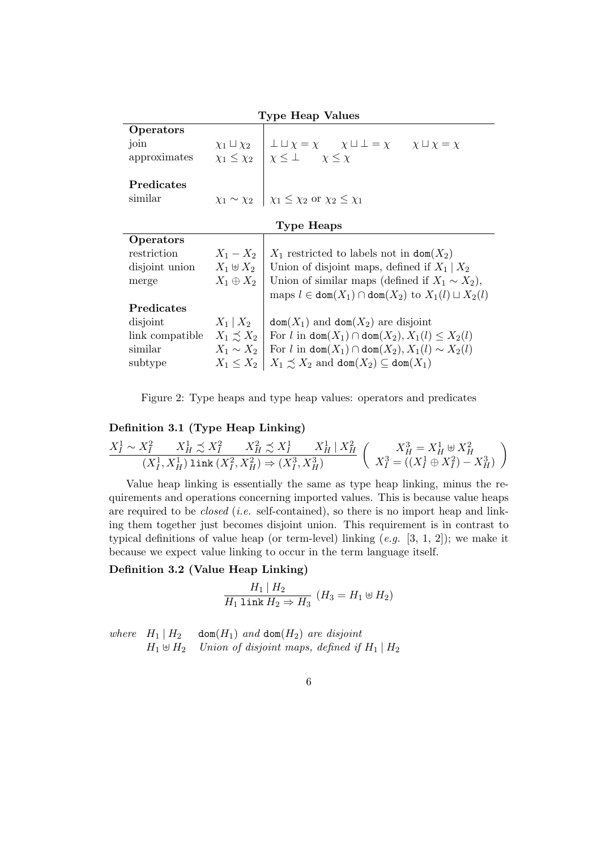| <b>Type Heap Values</b> |                        |                                                                                      |  |  |  |  |
|-------------------------|------------------------|--------------------------------------------------------------------------------------|--|--|--|--|
| Operators               |                        |                                                                                      |  |  |  |  |
| join                    | $\chi_1 \sqcup \chi_2$ | $\bot \sqcup \chi = \chi$ $\chi \sqcup \bot = \chi$ $\chi \sqcup \chi = \chi$        |  |  |  |  |
| approximates            |                        | $\chi_1 \leq \chi_2$   $\chi \leq \perp$ $\chi \leq \chi$                            |  |  |  |  |
| Predicates              |                        |                                                                                      |  |  |  |  |
| similar                 |                        | $\chi_1 \sim \chi_2$   $\chi_1 \leq \chi_2$ or $\chi_2 \leq \chi_1$                  |  |  |  |  |
| Type Heaps              |                        |                                                                                      |  |  |  |  |
| Operators               |                        |                                                                                      |  |  |  |  |
| restriction             |                        | $X_1 - X_2$   $X_1$ restricted to labels not in $\text{dom}(X_2)$                    |  |  |  |  |
| disjoint union          |                        | $X_1 \oplus X_2$ Union of disjoint maps, defined if $X_1 \mid X_2$                   |  |  |  |  |
| merge                   | $X_1 \oplus X_2$       | Union of similar maps (defined if $X_1 \sim X_2$ ),                                  |  |  |  |  |
|                         |                        | maps $l \in \text{dom}(X_1) \cap \text{dom}(X_2)$ to $X_1(l) \sqcup X_2(l)$          |  |  |  |  |
| Predicates              |                        |                                                                                      |  |  |  |  |
| disjoint                | $X_1 \, \, X_2$        | $\text{dom}(X_1)$ and $\text{dom}(X_2)$ are disjoint                                 |  |  |  |  |
| link compatible         |                        | $X_1 \preceq X_2$ For l in dom $(X_1) \cap$ dom $(X_2)$ , $X_1(l) \leq X_2(l)$       |  |  |  |  |
| similar                 |                        | $X_1 \sim X_2$ For l in dom $(X_1) \cap$ dom $(X_2)$ , $X_1(l) \sim X_2(l)$          |  |  |  |  |
| subtype                 |                        | $X_1 \leq X_2 \mid X_1 \precsim X_2$ and $\text{dom}(X_2) \subseteq \text{dom}(X_1)$ |  |  |  |  |

Figure 2: Type heaps and type heap values: operators and predicates

## Definition 3.1 (Type Heap Linking)

$$
\frac{X_I^1 \sim X_I^2 \qquad X_H^1 \precsim X_I^2 \qquad X_H^2 \precsim X_I^1 \qquad X_H^1 \mid X_H^2}{(X_I^1,X_H^1) \ \text{link} \ (X_I^2,X_H^2) \Rightarrow (X_I^3,X_H^3)} \ \left ( \begin{array}{c} X_H^3 = X_H^1 \oplus X_H^2 \\ X_I^3 = ((X_I^1 \oplus X_I^2) - X_H^3) \end{array} \right )
$$

Value heap linking is essentially the same as type heap linking, minus the requirements and operations concerning imported values. This is because value heaps are required to be closed (i.e. self-contained), so there is no import heap and linking them together just becomes disjoint union. This requirement is in contrast to typical definitions of value heap (or term-level) linking  $(e.g. [3, 1, 2])$ ; we make it because we expect value linking to occur in the term language itself.

## Definition 3.2 (Value Heap Linking)

$$
\frac{H_1 \mid H_2}{H_1 \; \texttt{link} \; H_2 \Rightarrow H_3} \; (H_3 = H_1 \uplus H_2)
$$

where  $H_1 | H_2$  dom $(H_1)$  and dom $(H_2)$  are disjoint  $H_1 \uplus H_2$  Union of disjoint maps, defined if  $H_1 \mid H_2$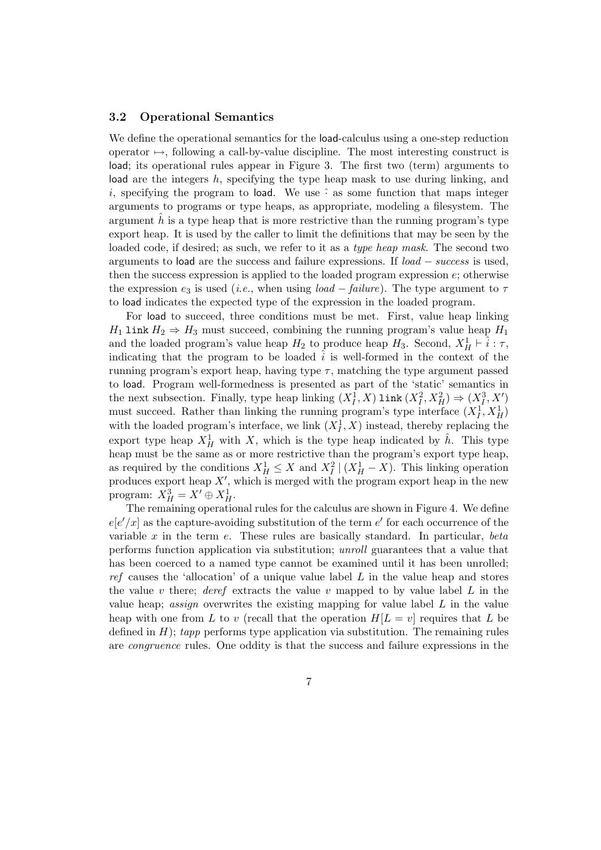#### 3.2 Operational Semantics

We define the operational semantics for the **load-calculus using a one-step reduction** operator  $\mapsto$ , following a call-by-value discipline. The most interesting construct is load; its operational rules appear in Figure 3. The first two (term) arguments to load are the integers h, specifying the type heap mask to use during linking, and i, specifying the program to load. We use  $\hat{\cdot}$  as some function that maps integer arguments to programs or type heaps, as appropriate, modeling a filesystem. The argument  $h$  is a type heap that is more restrictive than the running program's type export heap. It is used by the caller to limit the definitions that may be seen by the loaded code, if desired; as such, we refer to it as a type heap mask. The second two arguments to load are the success and failure expressions. If load − success is used, then the success expression is applied to the loaded program expression  $e$ ; otherwise the expression  $e_3$  is used (*i.e.*, when using *load – failure*). The type argument to  $\tau$ to load indicates the expected type of the expression in the loaded program.

For load to succeed, three conditions must be met. First, value heap linking  $H_1$  link  $H_2 \Rightarrow H_3$  must succeed, combining the running program's value heap  $H_1$ and the loaded program's value heap  $H_2$  to produce heap  $H_3$ . Second,  $X_H^1 \vdash \hat{i} : \tau$ , indicating that the program to be loaded  $i$  is well-formed in the context of the running program's export heap, having type  $\tau$ , matching the type argument passed to load. Program well-formedness is presented as part of the 'static' semantics in the next subsection. Finally, type heap linking  $(X_I^{\overline{1}}, X)$  link  $(X_I^2, X_H^2) \Rightarrow (X_I^3, X')$ must succeed. Rather than linking the running program's type interface  $(X_I^1, X_H^1)$ with the loaded program's interface, we link  $(X_I^1, X)$  instead, thereby replacing the export type heap  $X_H^1$  with X, which is the type heap indicated by  $\hat{h}$ . This type heap must be the same as or more restrictive than the program's export type heap, as required by the conditions  $X_H^1 \leq X$  and  $X_I^2 \mid (X_H^1 - X)$ . This linking operation produces export heap  $X'$ , which is merged with the program export heap in the new program:  $X_H^3 = X' \oplus X_H^1$ .

The remaining operational rules for the calculus are shown in Figure 4. We define  $e[e'/x]$  as the capture-avoiding substitution of the term  $e'$  for each occurrence of the variable  $x$  in the term  $e$ . These rules are basically standard. In particular, beta performs function application via substitution; unroll guarantees that a value that has been coerced to a named type cannot be examined until it has been unrolled; ref causes the 'allocation' of a unique value label  $L$  in the value heap and stores the value v there; deref extracts the value v mapped to by value label  $L$  in the value heap; *assign* overwrites the existing mapping for value label  $L$  in the value heap with one from L to v (recall that the operation  $H[L = v]$  requires that L be defined in  $H$ ); tapp performs type application via substitution. The remaining rules are congruence rules. One oddity is that the success and failure expressions in the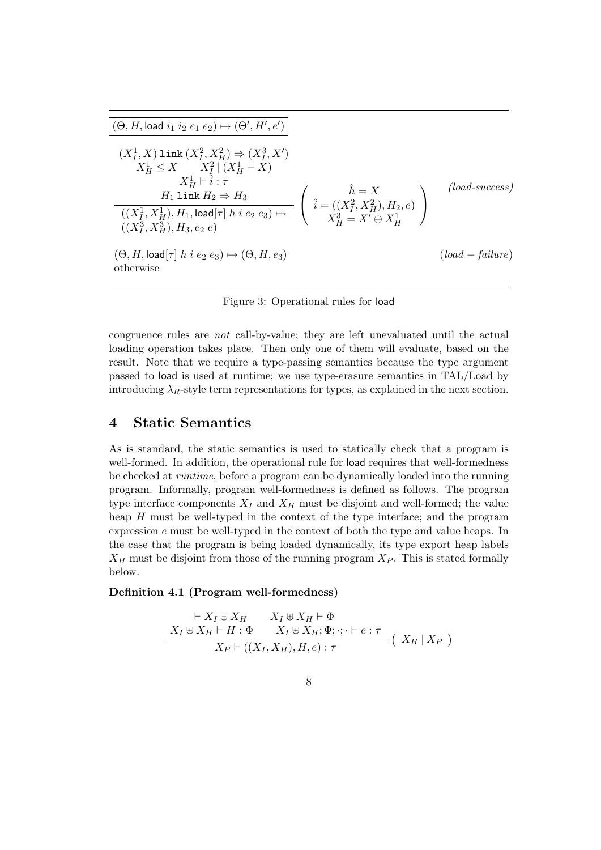$$
\frac{(\Theta, H, \text{load } i_1 i_2 e_1 e_2) \mapsto (\Theta', H', e')}{(X_I^1, X) \text{ link } (X_I^2, X_H^2) \Rightarrow (X_I^3, X')
$$
\n
$$
X_H^1 \leq X \qquad X_I^2 | (X_H^1 - X)
$$
\n
$$
X_H^1 \vdash \hat{i} : \tau
$$
\n
$$
H_1 \text{ link } H_2 \Rightarrow H_3
$$
\n
$$
\frac{((X_I^1, X_H^1), H_1, \text{load}[\tau] \mid h i e_2 e_3) \mapsto}{((X_I^3, X_H^3), H_3, e_2 e)} \qquad \left( \hat{i} = ((X_I^2, X_H^2), H_2, e) \right)
$$
\n
$$
\frac{((X_I^3, X_H^3), H_3, e_2 e)}{(A, A, \text{load}[\tau] \mid h i e_2 e_3) \mapsto (\Theta, H, e_3)}
$$
\n
$$
\text{(load - failure)}
$$
\n
$$
\text{otherwise}
$$

Figure 3: Operational rules for load

congruence rules are not call-by-value; they are left unevaluated until the actual loading operation takes place. Then only one of them will evaluate, based on the result. Note that we require a type-passing semantics because the type argument passed to load is used at runtime; we use type-erasure semantics in TAL/Load by introducing  $\lambda_R$ -style term representations for types, as explained in the next section.

## 4 Static Semantics

As is standard, the static semantics is used to statically check that a program is well-formed. In addition, the operational rule for load requires that well-formedness be checked at runtime, before a program can be dynamically loaded into the running program. Informally, program well-formedness is defined as follows. The program type interface components  $X_I$  and  $X_H$  must be disjoint and well-formed; the value heap  $H$  must be well-typed in the context of the type interface; and the program expression e must be well-typed in the context of both the type and value heaps. In the case that the program is being loaded dynamically, its type export heap labels  $X_H$  must be disjoint from those of the running program  $X_P$ . This is stated formally below.

#### Definition 4.1 (Program well-formedness)

$$
\frac{\vdash X_I \uplus X_H \qquad X_I \uplus X_H \vdash \Phi}{X_I \uplus X_H \vdash H : \Phi \qquad X_I \uplus X_H; \Phi; \cdot; \cdot \vdash e : \tau}
$$
\n
$$
\frac{X_P \vdash ((X_I, X_H), H, e) : \tau}{X_P \vdash ((X_I, X_H), H, e) : \tau} \quad (X_H \mid X_P)
$$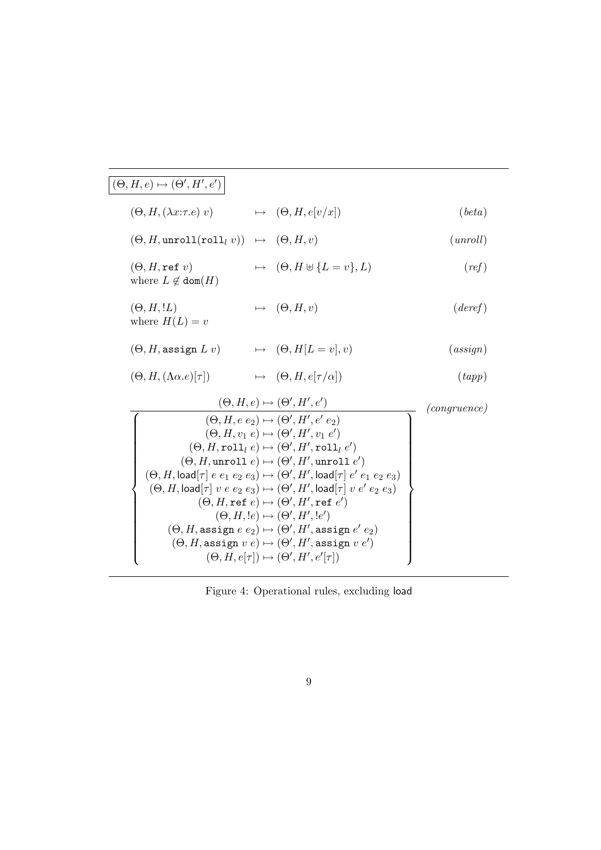| $(\Theta, H, e) \mapsto (\Theta', H', e')$                               |                                                                                                                                                                                                                                                                                                                                                                                                                                                                                                                                                                                                                                                                                                                                                                                                                                                                                                   |              |
|--------------------------------------------------------------------------|---------------------------------------------------------------------------------------------------------------------------------------------------------------------------------------------------------------------------------------------------------------------------------------------------------------------------------------------------------------------------------------------------------------------------------------------------------------------------------------------------------------------------------------------------------------------------------------------------------------------------------------------------------------------------------------------------------------------------------------------------------------------------------------------------------------------------------------------------------------------------------------------------|--------------|
| $(\Theta, H, (\lambda x:\tau.e) v)$                                      | $\mapsto (\Theta, H, e[v/x])$                                                                                                                                                                                                                                                                                                                                                                                                                                                                                                                                                                                                                                                                                                                                                                                                                                                                     | (beta)       |
| $(\Theta, H, \text{unroll}(\text{roll}_l v)) \rightarrow (\Theta, H, v)$ |                                                                                                                                                                                                                                                                                                                                                                                                                                                                                                                                                                                                                                                                                                                                                                                                                                                                                                   | (unroll)     |
| $(\Theta, H, \texttt{ref}~v)$<br>where $L \notin \text{dom}(H)$          | $\mapsto (\Theta, H \uplus \{L = v\}, L)$                                                                                                                                                                                                                                                                                                                                                                                                                                                                                                                                                                                                                                                                                                                                                                                                                                                         | (ref)        |
| $(\Theta, H, !L)$<br>where $H(L) = v$                                    | $\mapsto (\Theta, H, v)$                                                                                                                                                                                                                                                                                                                                                                                                                                                                                                                                                                                                                                                                                                                                                                                                                                                                          | (deref)      |
| $(\Theta, H$ , assign $L v$ )                                            | $\mapsto (\Theta, H[L = v], v)$                                                                                                                                                                                                                                                                                                                                                                                                                                                                                                                                                                                                                                                                                                                                                                                                                                                                   | (assign)     |
| $(\Theta, H, (\Lambda \alpha . e) [\tau])$                               | $\mapsto (\Theta, H, e[\tau/\alpha])$                                                                                                                                                                                                                                                                                                                                                                                                                                                                                                                                                                                                                                                                                                                                                                                                                                                             | (tapp)       |
|                                                                          | $(\Theta, H, e) \mapsto (\Theta', H', e')$<br>$(\Theta, H, e e_2) \mapsto (\Theta', H', e' e_2)$<br>$(\Theta, H, v_1 e) \mapsto (\Theta', H', v_1 e')$<br>$(\Theta, H, \text{roll}_l e) \mapsto (\Theta', H', \text{roll}_l e')$<br>$(\Theta, H,$ unroll $e) \mapsto (\Theta', H',$ unroll $e')$<br>$(\Theta, H, \textsf{load}[\tau] \ e \ e_1 \ e_2 \ e_3) \mapsto (\Theta', H', \textsf{load}[\tau] \ e' \ e_1 \ e_2 \ e_3)$<br>$(\Theta, H, \textsf{load}[\tau] \ v \ e \ e_2 \ e_3) \mapsto (\Theta', H', \textsf{load}[\tau] \ v \ e' \ e_2 \ e_3)$<br>$(\Theta, H, \texttt{ref} \ e) \mapsto (\Theta', H', \texttt{ref} \ e')$<br>$(\Theta, H, !e) \mapsto (\Theta', H', !e')$<br>$(\Theta, H$ , assign $e e_2$ ) $\mapsto (\Theta', H'$ , assign $e' e_2$ )<br>$(\Theta, H$ , assign $v e) \mapsto (\Theta', H'$ , assign $v e'$<br>$(\Theta, H, e[\tau]) \mapsto (\Theta', H', e'[\tau])$ | (congruence) |

Figure 4: Operational rules, excluding load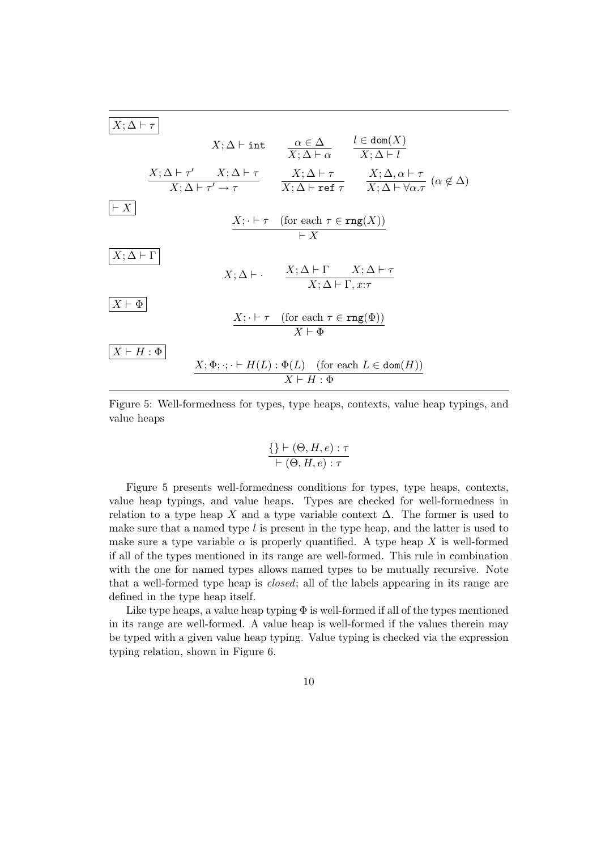

Figure 5: Well-formedness for types, type heaps, contexts, value heap typings, and value heaps

$$
\frac{\{\}\vdash (\Theta, H, e) : \tau}{\vdash (\Theta, H, e) : \tau}
$$

Figure 5 presents well-formedness conditions for types, type heaps, contexts, value heap typings, and value heaps. Types are checked for well-formedness in relation to a type heap X and a type variable context  $\Delta$ . The former is used to make sure that a named type  $l$  is present in the type heap, and the latter is used to make sure a type variable  $\alpha$  is properly quantified. A type heap X is well-formed if all of the types mentioned in its range are well-formed. This rule in combination with the one for named types allows named types to be mutually recursive. Note that a well-formed type heap is closed; all of the labels appearing in its range are defined in the type heap itself.

Like type heaps, a value heap typing  $\Phi$  is well-formed if all of the types mentioned in its range are well-formed. A value heap is well-formed if the values therein may be typed with a given value heap typing. Value typing is checked via the expression typing relation, shown in Figure 6.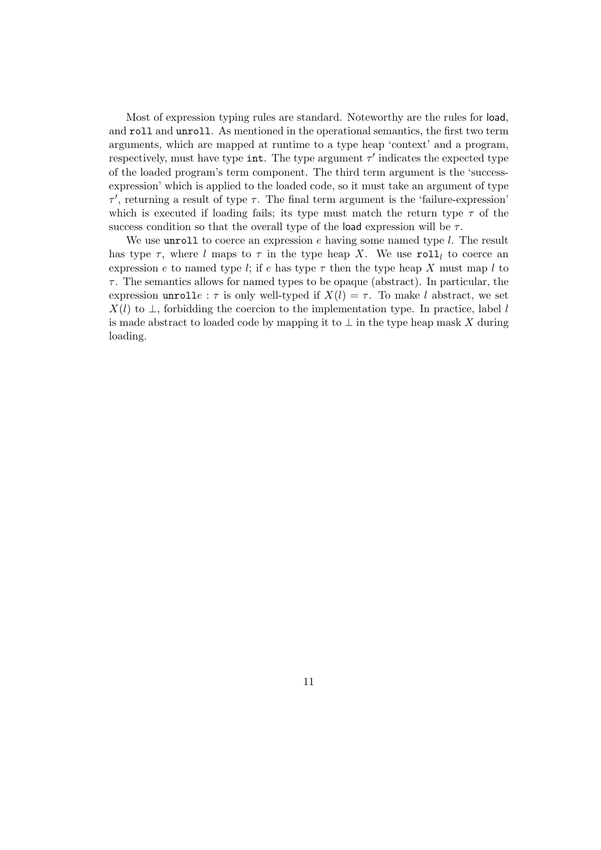Most of expression typing rules are standard. Noteworthy are the rules for load, and roll and unroll. As mentioned in the operational semantics, the first two term arguments, which are mapped at runtime to a type heap 'context' and a program, respectively, must have type int. The type argument  $\tau'$  indicates the expected type of the loaded program's term component. The third term argument is the 'successexpression' which is applied to the loaded code, so it must take an argument of type  $\tau'$ , returning a result of type  $\tau$ . The final term argument is the 'failure-expression' which is executed if loading fails; its type must match the return type  $\tau$  of the success condition so that the overall type of the load expression will be  $\tau$ .

We use unroll to coerce an expression  $e$  having some named type  $l$ . The result has type  $\tau$ , where l maps to  $\tau$  in the type heap X. We use roll<sub>l</sub> to coerce an expression e to named type l; if e has type  $\tau$  then the type heap X must map l to  $\tau$ . The semantics allows for named types to be opaque (abstract). In particular, the expression unrolle :  $\tau$  is only well-typed if  $X(l) = \tau$ . To make l abstract, we set  $X(l)$  to  $\perp$ , forbidding the coercion to the implementation type. In practice, label l is made abstract to loaded code by mapping it to  $\perp$  in the type heap mask X during loading.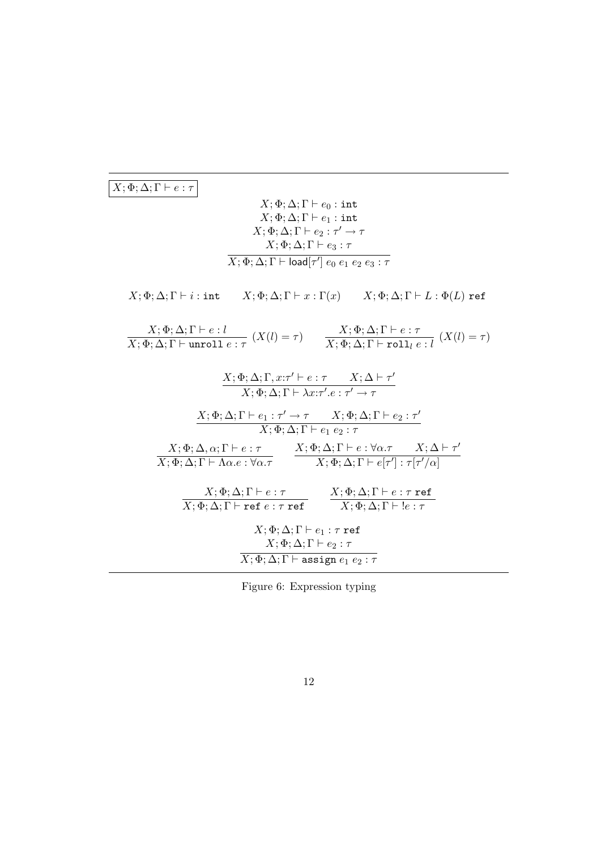# $\boxed{X; \Phi; \Delta; \Gamma \vdash e : \tau}$

$$
X; \Phi; \Delta; \Gamma \vdash e_0 : \text{int}
$$
  
\n
$$
X; \Phi; \Delta; \Gamma \vdash e_1 : \text{int}
$$
  
\n
$$
X; \Phi; \Delta; \Gamma \vdash e_2 : \tau' \to \tau
$$
  
\n
$$
X; \Phi; \Delta; \Gamma \vdash e_3 : \tau
$$
  
\n
$$
\overline{X; \Phi; \Delta; \Gamma \vdash \text{load}[\tau'] \ e_0 \ e_1 \ e_2 \ e_3 : \tau}
$$

 $X; \Phi ; \Delta ; \Gamma \vdash i : \texttt{int} \qquad X; \Phi ; \Delta ; \Gamma \vdash x : \Gamma (x) \qquad X; \Phi ; \Delta ; \Gamma \vdash L : \Phi (L) \texttt{ ref}$ 

| $\frac{X; \Phi; \Delta; \Gamma \vdash e : l}{X; \Phi; \Delta; \Gamma \vdash unroll \ e : \tau} (X(l) = \tau)$                                                        | $\frac{X; \Phi; \Delta; \Gamma \vdash e : \tau}{X; \Phi; \Delta; \Gamma \vdash \texttt{roll}_l e : l} (X(l) = \tau)$                 |  |  |  |  |
|----------------------------------------------------------------------------------------------------------------------------------------------------------------------|--------------------------------------------------------------------------------------------------------------------------------------|--|--|--|--|
| $X; \Phi; \Delta; \Gamma, x: \tau' \vdash e : \tau \qquad X; \Delta \vdash \tau'$<br>$X; \Phi; \Delta; \Gamma \vdash \lambda x : \tau'.e : \tau' \rightarrow \tau$   |                                                                                                                                      |  |  |  |  |
| $X; \Phi; \Delta; \Gamma \vdash e_1 : \tau' \rightarrow \tau \qquad X; \Phi; \Delta; \Gamma \vdash e_2 : \tau'$<br>$X; \Phi; \Delta; \Gamma \vdash e_1 \ e_2 : \tau$ |                                                                                                                                      |  |  |  |  |
| $X; \Phi; \Delta; \Gamma \vdash \Lambda \alpha. e : \forall \alpha. \tau$ $X; \Phi; \Delta; \Gamma \vdash e[\tau'] : \tau[\tau'/\alpha]$                             | $X; \Phi; \Delta, \alpha; \Gamma \vdash e : \tau$ $X; \Phi; \Delta; \Gamma \vdash e : \forall \alpha. \tau$ $X; \Delta \vdash \tau'$ |  |  |  |  |
| $X; \Phi; \Delta; \Gamma \vdash e : \tau$<br>$X; \Phi; \Delta; \Gamma \vdash \texttt{ref } e : \tau \texttt{ref}$ $X; \Phi; \Delta; \Gamma \vdash !e : \tau$         | $X ; \Phi ; \Delta ; \Gamma \vdash e : \tau$ ref                                                                                     |  |  |  |  |
| $X; \Phi; \Delta; \Gamma \vdash e_1 : \tau$ ref<br>$X; \Phi; \Delta; \Gamma \vdash e_2 : \tau$                                                                       |                                                                                                                                      |  |  |  |  |
| $X; \Phi; \Delta; \Gamma \vdash \mathtt{assign}\ e_1\ e_2 : \tau$                                                                                                    |                                                                                                                                      |  |  |  |  |

Figure 6: Expression typing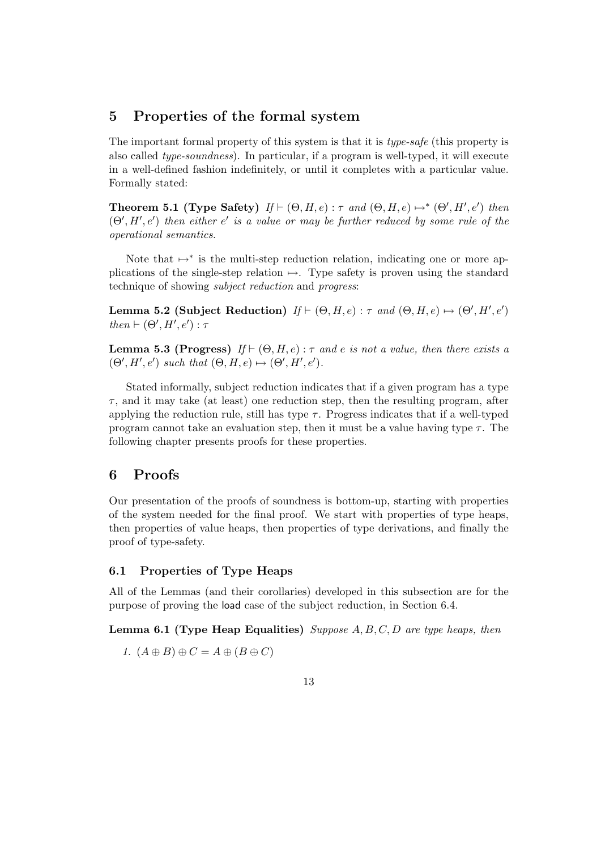# 5 Properties of the formal system

The important formal property of this system is that it is *type-safe* (this property is also called type-soundness). In particular, if a program is well-typed, it will execute in a well-defined fashion indefinitely, or until it completes with a particular value. Formally stated:

Theorem 5.1 (Type Safety)  $If \vdash (\Theta, H, e) : \tau \text{ and } (\Theta, H, e) \mapsto^* (\Theta', H', e') \text{ then}$  $(\Theta', H', e')$  then either e' is a value or may be further reduced by some rule of the operational semantics.

Note that  $\mapsto^*$  is the multi-step reduction relation, indicating one or more applications of the single-step relation  $\mapsto$ . Type safety is proven using the standard technique of showing subject reduction and progress:

Lemma 5.2 (Subject Reduction)  $If \vdash (\Theta, H, e) : \tau \text{ and } (\Theta, H, e) \mapsto (\Theta', H', e')$ then  $\vdash (\Theta', H', e') : \tau$ 

**Lemma 5.3 (Progress)** If  $\vdash (\Theta, H, e) : \tau$  and e is not a value, then there exists a  $(\Theta', H', e')$  such that  $(\Theta, H, e) \mapsto (\Theta', H', e').$ 

Stated informally, subject reduction indicates that if a given program has a type  $\tau$ , and it may take (at least) one reduction step, then the resulting program, after applying the reduction rule, still has type  $\tau$ . Progress indicates that if a well-typed program cannot take an evaluation step, then it must be a value having type  $\tau$ . The following chapter presents proofs for these properties.

# 6 Proofs

Our presentation of the proofs of soundness is bottom-up, starting with properties of the system needed for the final proof. We start with properties of type heaps, then properties of value heaps, then properties of type derivations, and finally the proof of type-safety.

## 6.1 Properties of Type Heaps

All of the Lemmas (and their corollaries) developed in this subsection are for the purpose of proving the load case of the subject reduction, in Section 6.4.

**Lemma 6.1 (Type Heap Equalities)** Suppose  $A, B, C, D$  are type heaps, then

$$
1. \ (A \oplus B) \oplus C = A \oplus (B \oplus C)
$$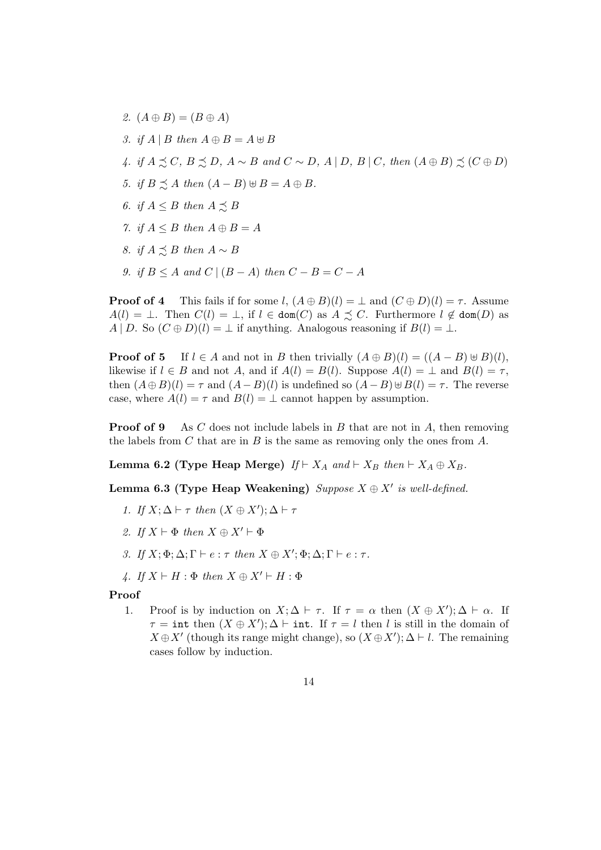2.  $(A \oplus B) = (B \oplus A)$ 3. if  $A \mid B$  then  $A \oplus B = A \oplus B$ 4. if  $A \precsim C$ ,  $B \precsim D$ ,  $A \sim B$  and  $C \sim D$ ,  $A \mid D$ ,  $B \mid C$ , then  $(A \oplus B) \precsim (C \oplus D)$ 5. if  $B \preceq A$  then  $(A - B) \uplus B = A \oplus B$ . 6. if  $A \leq B$  then  $A \preceq B$ 7. if  $A \leq B$  then  $A \oplus B = A$ 8. if  $A \preceq B$  then  $A \sim B$ 9. if  $B \leq A$  and  $C \mid (B - A)$  then  $C - B = C - A$ 

**Proof of 4** This fails if for some l,  $(A \oplus B)(l) = \perp$  and  $(C \oplus D)(l) = \tau$ . Assume  $A(l) = \bot$ . Then  $C(l) = \bot$ , if  $l \in \text{dom}(C)$  as  $A \precsim C$ . Furthermore  $l \notin \text{dom}(D)$  as A | D. So  $(C \oplus D)(l) = \perp$  if anything. Analogous reasoning if  $B(l) = \perp$ .

**Proof of 5** If  $l \in A$  and not in B then trivially  $(A \oplus B)(l) = ((A - B) \oplus B)(l)$ , likewise if  $l \in B$  and not A, and if  $A(l) = B(l)$ . Suppose  $A(l) = \perp$  and  $B(l) = \tau$ , then  $(A \oplus B)(l) = \tau$  and  $(A - B)(l)$  is undefined so  $(A - B) \oplus B(l) = \tau$ . The reverse case, where  $A(l) = \tau$  and  $B(l) = \bot$  cannot happen by assumption.

**Proof of 9** As C does not include labels in B that are not in A, then removing the labels from C that are in B is the same as removing only the ones from  $A$ .

Lemma 6.2 (Type Heap Merge)  $If \vdash X_A$  and  $\vdash X_B$  then  $\vdash X_A \oplus X_B$ .

Lemma 6.3 (Type Heap Weakening) Suppose  $X \oplus X'$  is well-defined.

- 1. If  $X; \Delta \vdash \tau$  then  $(X \oplus X'); \Delta \vdash \tau$
- 2. If  $X \vdash \Phi$  then  $X \oplus X' \vdash \Phi$
- 3. If  $X; \Phi; \Delta; \Gamma \vdash e : \tau \text{ then } X \oplus X'; \Phi; \Delta; \Gamma \vdash e : \tau.$
- 4. If  $X \vdash H : \Phi$  then  $X \oplus X' \vdash H : \Phi$

#### Proof

1. Proof is by induction on  $X; \Delta \vdash \tau$ . If  $\tau = \alpha$  then  $(X \oplus X'); \Delta \vdash \alpha$ . If  $\tau = \text{int then } (X \oplus X')$ ;  $\Delta \vdash \text{int. If } \tau = l \text{ then } l \text{ is still in the domain of }$  $X \oplus X'$  (though its range might change), so  $(X \oplus X')$ ;  $\Delta \vdash l$ . The remaining cases follow by induction.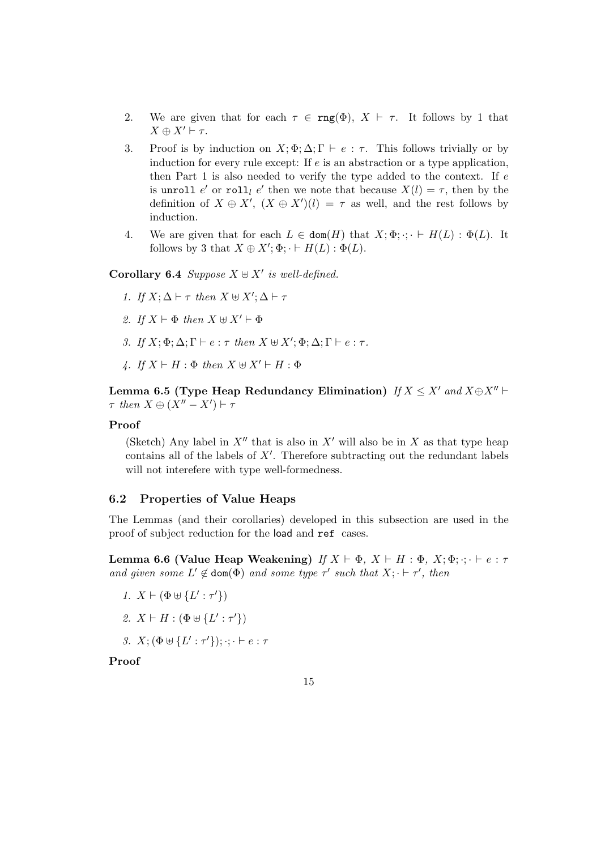- 2. We are given that for each  $\tau \in \text{rng}(\Phi)$ ,  $X \vdash \tau$ . It follows by 1 that  $X \oplus X' \vdash \tau.$
- 3. Proof is by induction on  $X; \Phi; \Delta; \Gamma \vdash e : \tau$ . This follows trivially or by induction for every rule except: If  $e$  is an abstraction or a type application, then Part 1 is also needed to verify the type added to the context. If  $e$ is unroll e' or roll<sub>l</sub> e' then we note that because  $X(l) = \tau$ , then by the definition of  $X \oplus X'$ ,  $(X \oplus X')(l) = \tau$  as well, and the rest follows by induction.
- 4. We are given that for each  $L \in \text{dom}(H)$  that  $X; \Phi$ ;  $\cdot \cdot \vdash H(L) : \Phi(L)$ . It follows by 3 that  $X \oplus X'$ ;  $\Phi$ ;  $\vdash H(L)$ :  $\Phi(L)$ .

**Corollary 6.4** Suppose  $X \uplus X'$  is well-defined.

- 1. If  $X; \Delta \vdash \tau$  then  $X \uplus X'; \Delta \vdash \tau$
- 2. If  $X \vdash \Phi$  then  $X \uplus X' \vdash \Phi$
- 3. If  $X; \Phi; \Delta; \Gamma \vdash e : \tau \text{ then } X \uplus X'; \Phi; \Delta; \Gamma \vdash e : \tau.$
- 4. If  $X \vdash H : \Phi$  then  $X \uplus X' \vdash H : \Phi$

Lemma 6.5 (Type Heap Redundancy Elimination)  $If X \leq X'$  and  $X \oplus X'' \vdash$  $\tau$  then  $X \oplus (X'' - X') \vdash \tau$ 

## Proof

(Sketch) Any label in  $X''$  that is also in  $X'$  will also be in X as that type heap contains all of the labels of  $X'$ . Therefore subtracting out the redundant labels will not interefere with type well-formedness.

#### 6.2 Properties of Value Heaps

The Lemmas (and their corollaries) developed in this subsection are used in the proof of subject reduction for the load and ref cases.

Lemma 6.6 (Value Heap Weakening) If  $X \vdash \Phi$ ,  $X \vdash H : \Phi$ ,  $X; \Phi$ ;  $\cdot \cdot \cdot \vdash e : \tau$ and given some  $L' \notin \text{dom}(\Phi)$  and some type  $\tau'$  such that  $X; \cdot \vdash \tau'$ , then

- 1.  $X \vdash (\Phi \uplus \{L' : \tau'\})$
- 2.  $X \vdash H : (\Phi \uplus \{L' : \tau'\})$
- 3.  $X; (\Phi \uplus \{L' : \tau'\}); \cdot; \cdot \vdash e : \tau$

Proof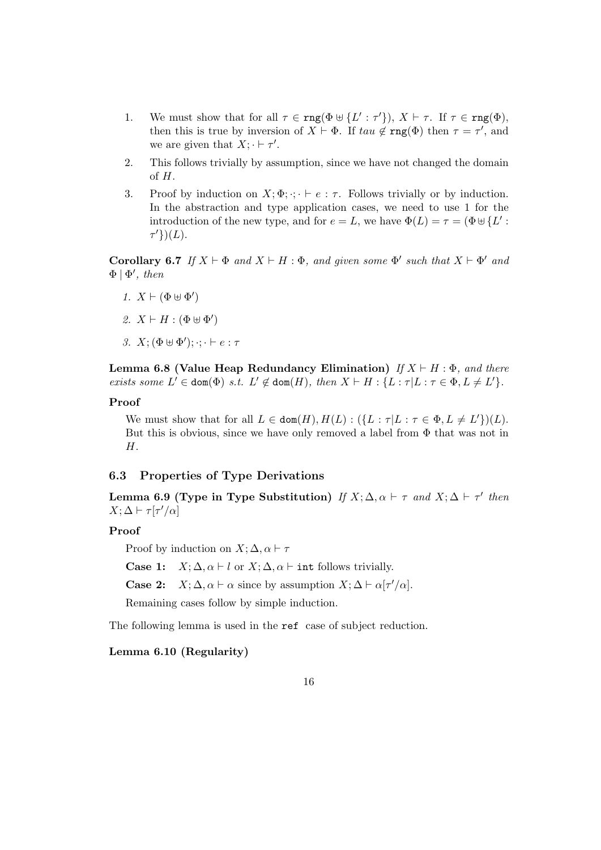- 1. We must show that for all  $\tau \in \text{rng}(\Phi \uplus \{L' : \tau'\})$ ,  $X \vdash \tau$ . If  $\tau \in \text{rng}(\Phi)$ , then this is true by inversion of  $X \vdash \Phi$ . If  $tau \notin \text{rng}(\Phi)$  then  $\tau = \tau'$ , and we are given that  $X; \cdot \vdash \tau'.$
- 2. This follows trivially by assumption, since we have not changed the domain of  $H$ .
- 3. Proof by induction on  $X; \Phi$ ;  $\cdot$ ;  $\cdot \vdash e : \tau$ . Follows trivially or by induction. In the abstraction and type application cases, we need to use 1 for the introduction of the new type, and for  $e = L$ , we have  $\Phi(L) = \tau = (\Phi \cup \{L\})$ .  $\tau'\})(L).$

Corollary 6.7 If  $X \vdash \Phi$  and  $X \vdash H : \Phi$ , and given some  $\Phi'$  such that  $X \vdash \Phi'$  and  $\Phi | \Phi', then$ 

- 1.  $X \vdash (\Phi \uplus \Phi')$
- 2.  $X \vdash H : (\Phi \uplus \Phi')$
- 3.  $X; (\Phi \uplus \Phi'); \cdot; \cdot \vdash e : \tau$

Lemma 6.8 (Value Heap Redundancy Elimination) If  $X \vdash H : \Phi$ , and there exists some  $L' \in \text{dom}(\Phi)$  s.t.  $L' \notin \text{dom}(H)$ , then  $X \vdash H : \{L : \tau | L : \tau \in \Phi, L \neq L'\}.$ 

#### Proof

We must show that for all  $L \in \text{dom}(H), H(L) : (\{L : \tau | L : \tau \in \Phi, L \neq L'\}(L)).$ But this is obvious, since we have only removed a label from  $\Phi$  that was not in H.

## 6.3 Properties of Type Derivations

Lemma 6.9 (Type in Type Substitution) If  $X; \Delta, \alpha \vdash \tau$  and  $X; \Delta \vdash \tau'$  then  $X; \Delta \vdash \tau[\tau'/\alpha]$ 

## Proof

Proof by induction on  $X; \Delta, \alpha \vdash \tau$ 

**Case 1:**  $X; \Delta, \alpha \vdash l$  or  $X; \Delta, \alpha \vdash$  int follows trivially.

**Case 2:**  $X; \Delta, \alpha \vdash \alpha$  since by assumption  $X; \Delta \vdash \alpha | \tau' / \alpha$ .

Remaining cases follow by simple induction.

The following lemma is used in the ref case of subject reduction.

Lemma 6.10 (Regularity)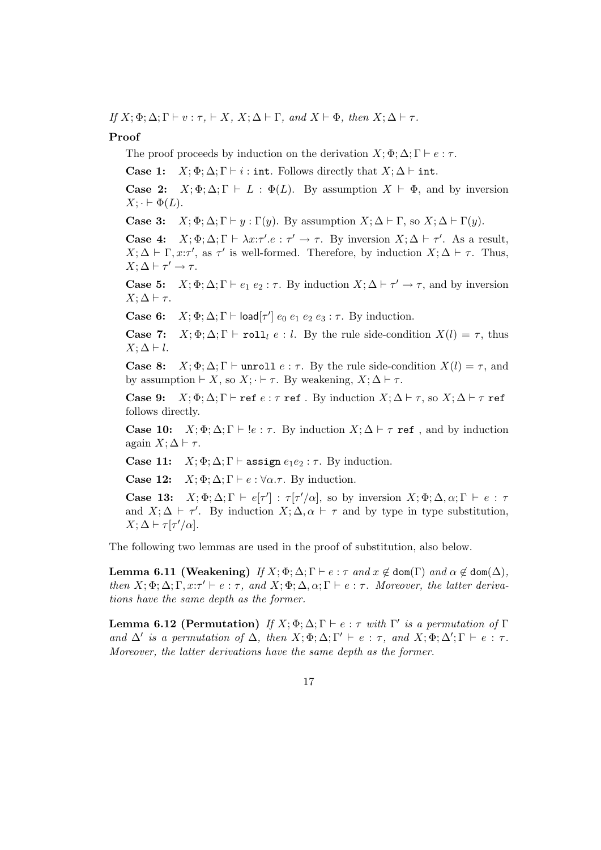If  $X; \Phi; \Delta; \Gamma \vdash v : \tau, \vdash X, X; \Delta \vdash \Gamma$ , and  $X \vdash \Phi$ , then  $X; \Delta \vdash \tau$ .

## Proof

The proof proceeds by induction on the derivation  $X; \Phi; \Delta; \Gamma \vdash e : \tau$ .

Case 1:  $X; \Phi; \Delta; \Gamma \vdash i : \text{int. Follows directly that } X; \Delta \vdash \text{int.}$ 

**Case 2:**  $X; \Phi; \Delta; \Gamma \vdash L : \Phi(L)$ . By assumption  $X \vdash \Phi$ , and by inversion  $X; \cdot \vdash \Phi(L).$ 

**Case 3:**  $X; \Phi; \Delta; \Gamma \vdash y : \Gamma(y)$ . By assumption  $X; \Delta \vdash \Gamma$ , so  $X; \Delta \vdash \Gamma(y)$ .

Case 4:  $X; \Phi; \Delta; \Gamma \vdash \lambda x : \tau'.e : \tau' \to \tau$ . By inversion  $X; \Delta \vdash \tau'.$  As a result,  $X; \Delta \vdash \Gamma, x: \tau'$ , as  $\tau'$  is well-formed. Therefore, by induction  $X; \Delta \vdash \tau$ . Thus,  $X; \Delta \vdash \tau' \rightarrow \tau.$ 

**Case 5:**  $X; \Phi; \Delta; \Gamma \vdash e_1 \ e_2 : \tau$ . By induction  $X; \Delta \vdash \tau' \rightarrow \tau$ , and by inversion  $X; \Delta \vdash \tau.$ 

Case 6:  $X; \Phi; \Delta; \Gamma \vdash \text{load}[\tau'] e_0 e_1 e_2 e_3 : \tau$ . By induction.

Case 7:  $X; \Phi; \Delta; \Gamma \vdash \text{roll}_l e : l$ . By the rule side-condition  $X(l) = \tau$ , thus  $X; \Delta \vdash l$ .

**Case 8:**  $X; \Phi; \Delta; \Gamma \vdash$  unroll  $e : \tau$ . By the rule side-condition  $X(l) = \tau$ , and by assumption  $\vdash X$ , so  $X$ ;  $\vdash \tau$ . By weakening,  $X$ ;  $\Delta \vdash \tau$ .

Case 9:  $X; \Phi; \Delta; \Gamma \vdash$  ref  $e : \tau$  ref. By induction  $X; \Delta \vdash \tau$ , so  $X; \Delta \vdash \tau$  ref follows directly.

**Case 10:**  $X; \Phi; \Delta; \Gamma \vdash \text{!} e : \tau$ . By induction  $X; \Delta \vdash \tau \text{ ref}$ , and by induction again  $X; \Delta \vdash \tau$ .

Case 11:  $X; \Phi; \Delta; \Gamma \vdash \text{assign } e_1e_2 : \tau$ . By induction.

**Case 12:**  $X; \Phi; \Delta; \Gamma \vdash e : \forall \alpha. \tau$ . By induction.

Case 13:  $X; \Phi; \Delta; \Gamma \vdash e[\tau'] : \tau[\tau'/\alpha],$  so by inversion  $X; \Phi; \Delta, \alpha; \Gamma \vdash e : \tau$ and  $X; \Delta \vdash \tau'$ . By induction  $X; \Delta, \alpha \vdash \tau$  and by type in type substitution,  $X; \Delta \vdash \tau[\tau'/\alpha].$ 

The following two lemmas are used in the proof of substitution, also below.

**Lemma 6.11 (Weakening)** If  $X$ ;  $\Phi$ ;  $\Delta$ ;  $\Gamma \vdash e : \tau$  and  $x \notin \text{dom}(\Gamma)$  and  $\alpha \notin \text{dom}(\Delta)$ , then  $X; \Phi; \Delta; \Gamma, x: \tau' \vdash e : \tau$ , and  $X; \Phi; \Delta, \alpha; \Gamma \vdash e : \tau$ . Moreover, the latter derivations have the same depth as the former.

**Lemma 6.12 (Permutation)** If  $X; \Phi; \Delta; \Gamma \vdash e : \tau$  with  $\Gamma'$  is a permutation of  $\Gamma$ and  $\Delta'$  is a permutation of  $\Delta$ , then  $X; \Phi; \Delta; \Gamma' \vdash e : \tau$ , and  $X; \Phi; \Delta'; \Gamma \vdash e : \tau$ . Moreover, the latter derivations have the same depth as the former.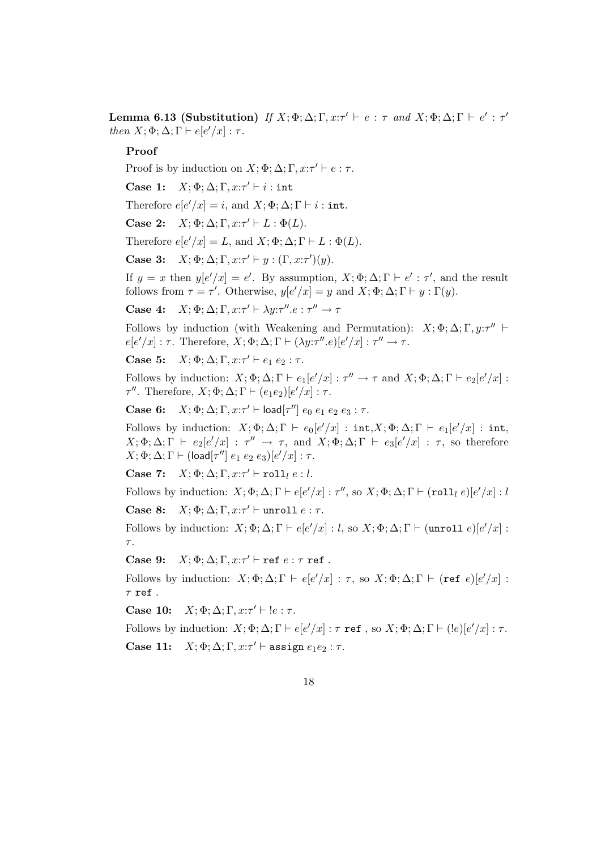Lemma 6.13 (Substitution) If  $X; \Phi; \Delta; \Gamma, x; \tau' \vdash e : \tau$  and  $X; \Phi; \Delta; \Gamma \vdash e' : \tau'$ then  $X; \Phi; \Delta; \Gamma \vdash e[e'/x] : \tau$ .

## Proof

Proof is by induction on  $X; \Phi; \Delta; \Gamma, x : \tau' \vdash e : \tau$ .

Case 1:  $X; \Phi; \Delta; \Gamma, x: \tau' \vdash i : \text{int}$ 

Therefore  $e[e'/x] = i$ , and  $X; \Phi; \Delta; \Gamma \vdash i : \text{int.}$ 

Case 2:  $X; \Phi; \Delta; \Gamma, x: \tau' \vdash L : \Phi(L)$ .

Therefore  $e[e'/x] = L$ , and  $X; \Phi; \Delta; \Gamma \vdash L : \Phi(L)$ .

Case 3:  $X; \Phi; \Delta; \Gamma, x : \tau' \vdash y : (\Gamma, x : \tau')(y).$ 

If  $y = x$  then  $y[e'/x] = e'$ . By assumption,  $X; \Phi; \Delta; \Gamma \vdash e' : \tau'$ , and the result follows from  $\tau = \tau'$ . Otherwise,  $y[e'/x] = y$  and  $X; \Phi; \Delta; \Gamma \vdash y : \Gamma(y)$ .

Case 4:  $X; \Phi; \Delta; \Gamma, x : \tau' \vdash \lambda y : \tau'' \cdot e : \tau'' \rightarrow \tau$ 

Follows by induction (with Weakening and Permutation):  $X; \Phi; \Delta; \Gamma, y; \tau''$  $e[e'/x] : \tau$ . Therefore,  $X; \Phi; \Delta; \Gamma \vdash (\lambda y : \tau'' \cdot e)[e'/x] : \tau'' \rightarrow \tau$ .

Case 5:  $X; \Phi; \Delta; \Gamma, x : \tau' \vdash e_1 \ e_2 : \tau$ .

Follows by induction:  $X; \Phi; \Delta; \Gamma \vdash e_1[e'/x] : \tau'' \to \tau$  and  $X; \Phi; \Delta; \Gamma \vdash e_2[e'/x]$ :  $τ''$ . Therefore,  $X; \Phi; \Delta; \Gamma \vdash (e_1e_2)[e'/x] : τ.$ 

Case 6:  $X; \Phi; \Delta; \Gamma, x; \tau' \vdash \text{load}[\tau''] e_0 e_1 e_2 e_3 : \tau.$ 

Follows by induction:  $X; \Phi; \Delta; \Gamma \vdash e_0[e'/x] : \text{int}, X; \Phi; \Delta; \Gamma \vdash e_1[e'/x] : \text{int}, X; \Phi \vdash \Delta; \Gamma \vdash e_2[e'/x] : \text{int}, X; \Phi \vdash \Delta; \Gamma \vdash e_3[e'/x] : \text{int}, X; \Phi \vdash \Delta; \Gamma \vdash e_4[e'/x] : \text{int}, X; \Phi \vdash \Delta; \Gamma \vdash e_5[e'/x] : \text{int}, X; \Phi \vdash \Delta; \Gamma \vdash e_6[e'/x] : \text{int}, X; \Phi \vd$  $X; \Phi; \Delta; \Gamma \vdash e_2[e'/x] : \tau'' \rightarrow \tau$ , and  $X; \Phi; \Delta; \Gamma \vdash e_3[e'/x] : \tau$ , so therefore  $X; \Phi ; \Delta ; \Gamma \vdash ($ load $[\tau'']\ e_1\ e_2\ e_3) [e'/x] : \tau.$ 

Case 7:  $X; \Phi; \Delta; \Gamma, x : \tau' \vdash \texttt{roll}_l e : l.$ 

Follows by induction:  $X; \Phi; \Delta; \Gamma \vdash e[e'/x] : \tau'',$  so  $X; \Phi; \Delta; \Gamma \vdash (\texttt{roll}_l \ e)[e'/x] : l'$ 

Case 8:  $X; \Phi; \Delta; \Gamma, x : \tau' \vdash \text{unroll } e : \tau.$ 

Follows by induction:  $X; \Phi; \Delta; \Gamma \vdash e[e'/x] : l$ , so  $X; \Phi; \Delta; \Gamma \vdash (unroll e)[e'/x]$ :  $\tau$ .

Case 9:  $X; \Phi; \Delta; \Gamma, x : \tau' \vdash \text{ref } e : \tau \text{ ref}.$ 

Follows by induction:  $X; \Phi; \Delta; \Gamma \vdash e[e'/x] : \tau$ , so  $X; \Phi; \Delta; \Gamma \vdash (\text{ref } e)[e'/x] :$  $\tau$  ref.

Case 10:  $X; \Phi; \Delta; \Gamma, x: \tau' \vdash !e : \tau$ .

Follows by induction:  $X; \Phi; \Delta; \Gamma \vdash e[e'/x] : \tau \text{ ref}$ , so  $X; \Phi; \Delta; \Gamma \vdash (!e)[e'/x] : \tau$ . Case 11:  $X; \Phi; \Delta; \Gamma, x : \tau' \vdash \text{assign } e_1 e_2 : \tau.$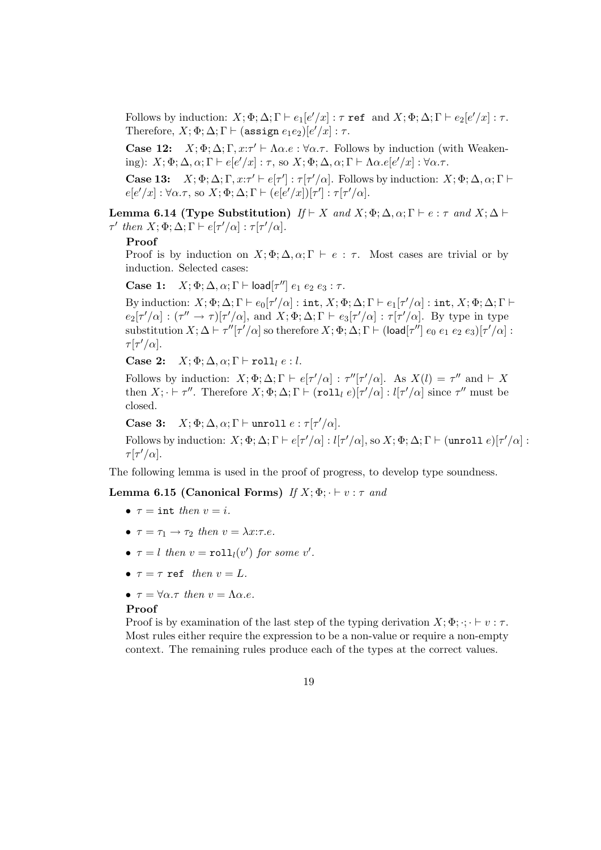Follows by induction:  $X; \Phi; \Delta; \Gamma \vdash e_1[e'/x] : \tau \text{ ref} \text{ and } X; \Phi; \Delta; \Gamma \vdash e_2[e'/x] : \tau.$ Therefore,  $X; \Phi; \Delta; \Gamma \vdash (\texttt{assign } e_1e_2)[e'/x] : \tau.$ 

Case 12:  $X; \Phi; \Delta; \Gamma, x : \tau' \vdash \Lambda \alpha.e : \forall \alpha.\tau$ . Follows by induction (with Weakening):  $X; \Phi; \Delta, \alpha; \Gamma \vdash e[e'/x] : \tau$ , so  $X; \Phi; \Delta, \alpha; \Gamma \vdash \Lambda \alpha. e[e'/x] : \forall \alpha. \tau$ .

Case 13:  $X; \Phi; \Delta; \Gamma, x : \tau' \vdash e[\tau'] : \tau[\tau'/\alpha]$ . Follows by induction:  $X; \Phi; \Delta, \alpha; \Gamma \vdash$  $e[e'/x]: \forall \alpha.\tau$ , so  $X; \Phi; \Delta; \Gamma \vdash (e[e'/x])[ \tau'] : \tau[\tau'/\alpha].$ 

Lemma 6.14 (Type Substitution)  $If \vdash X$  and  $X; \Phi; \Delta, \alpha; \Gamma \vdash e : \tau$  and  $X; \Delta \vdash$  $\tau'$  then  $X; \Phi; \Delta; \Gamma \vdash e[\tau'/\alpha] : \tau[\tau'/\alpha]$ .

#### Proof

Proof is by induction on  $X; \Phi; \Delta, \alpha; \Gamma \vdash e : \tau$ . Most cases are trivial or by induction. Selected cases:

Case 1:  $X; \Phi; \Delta, \alpha; \Gamma \vdash \mathsf{load}[\tau''] e_1 e_2 e_3 : \tau.$ 

By induction:  $X; \Phi; \Delta; \Gamma \vdash e_0[\tau'/\alpha] : \texttt{int}, X; \Phi; \Delta; \Gamma \vdash e_1[\tau'/\alpha] : \texttt{int}, X; \Phi; \Delta; \Gamma \vdash$  $e_2[\tau'/\alpha] : (\tau'' \to \tau)[\tau'/\alpha],$  and  $X; \Phi; \Delta; \Gamma \vdash e_3[\tau'/\alpha] : \tau[\tau'/\alpha].$  By type in type substitution  $X; \Delta \vdash \tau''[\tau'/\alpha]$  so therefore  $X; \Phi; \Delta; \Gamma \vdash (\mathsf{load}[\tau''] \; e_0 \; e_1 \; e_2 \; e_3)[\tau'/\alpha]$ :  $\tau[\tau'/\alpha]$ .

Case 2:  $X; \Phi; \Delta, \alpha; \Gamma \vdash \text{roll}_l e : l.$ 

Follows by induction:  $X; \Phi; \Delta; \Gamma \vdash e[\tau'/\alpha] : \tau''[\tau'/\alpha]$ . As  $X(l) = \tau''$  and  $\vdash X$ then  $X; \cdot \vdash \tau''$ . Therefore  $X; \Phi; \Delta; \Gamma \vdash (\text{roll}_{l} e)[\tau'/\alpha] : l[\tau'/\alpha]$  since  $\tau''$  must be closed.

Case 3:  $X; \Phi; \Delta, \alpha; \Gamma \vdash \text{unroll } e : \tau[\tau'/\alpha].$ 

Follows by induction:  $X; \Phi; \Delta; \Gamma \vdash e[\tau'/\alpha] : l[\tau'/\alpha]$ , so  $X; \Phi; \Delta; \Gamma \vdash (unroll e)[\tau'/\alpha]$ :  $\tau[\tau'/\alpha]$ .

The following lemma is used in the proof of progress, to develop type soundness.

## Lemma 6.15 (Canonical Forms) If  $X; \Phi$ ;  $\vdash v : \tau$  and

- $\tau = \text{int then } v = i$ .
- $\tau = \tau_1 \rightarrow \tau_2$  then  $v = \lambda x : \tau.e.$
- $\tau = l$  then  $v = \text{roll}_l(v')$  for some v'.
- $\tau = \tau$  ref then  $v = L$ .
- $\tau = \forall \alpha \ldotp \tau$  then  $v = \Lambda \alpha \ldotp e$ .

#### Proof

Proof is by examination of the last step of the typing derivation  $X; \Phi$ ;  $\cdot : \cdot \vdash v : \tau$ . Most rules either require the expression to be a non-value or require a non-empty context. The remaining rules produce each of the types at the correct values.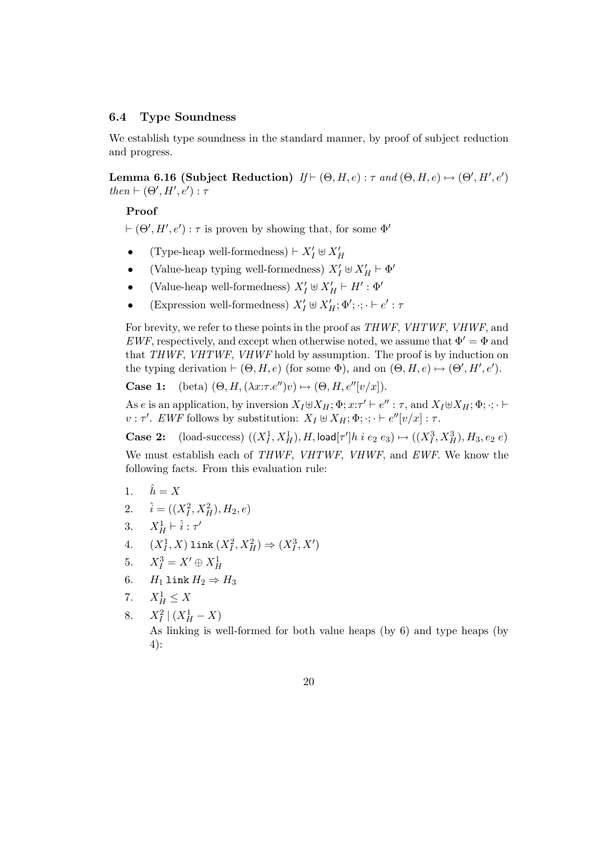## 6.4 Type Soundness

We establish type soundness in the standard manner, by proof of subject reduction and progress.

Lemma 6.16 (Subject Reduction)  $H \vdash (\Theta, H, e) : \tau$  and  $(\Theta, H, e) \mapsto (\Theta', H', e')$ then  $\vdash (\Theta', H', e') : \tau$ 

## Proof

 $\vdash (\Theta', H', e') : \tau$  is proven by showing that, for some  $\Phi'$ 

- (Type-heap well-formedness)  $\vdash X_I' \uplus X_H'$
- (Value-heap typing well-formedness)  $X'_I \oplus X'_H \vdash \Phi'$
- (Value-heap well-formedness)  $X'_I \uplus X'_H \vdash H' : \Phi'$
- (Expression well-formedness)  $X'_I \uplus X'_H$ ;  $\Phi'; \cdot; \cdot \vdash e' : \tau$

For brevity, we refer to these points in the proof as THWF, VHTWF, VHWF, and  $EWF$ , respectively, and except when otherwise noted, we assume that  $\Phi' = \Phi$  and that THWF, VHTWF, VHWF hold by assumption. The proof is by induction on the typing derivation  $\vdash (\Theta, H, e)$  (for some  $\Phi$ ), and on  $(\Theta, H, e) \mapsto (\Theta', H', e')$ .

**Case 1:** (beta)  $(\Theta, H, (\lambda x:\tau.e'')v) \mapsto (\Theta, H, e''[v/x])$ .

As e is an application, by inversion  $X_I \oplus X_H$ ;  $\Phi$ ;  $x: \tau' \vdash e'' : \tau$ , and  $X_I \oplus X_H$ ;  $\Phi$ ;  $\cdot$ ;  $\cdot \vdash$  $v : \tau'$ . EWF follows by substitution:  $X_I \uplus X_H$ ;  $\Phi$ ;  $\cdot$ ;  $\cdot \vdash e''[v/x]$ :  $\tau$ .

**Case 2:** (load-success)  $((X_I^1, X_H^1), H, \text{load}[\tau']h \text{ } i \text{ } e_2 \text{ } e_3) \mapsto ((X_I^3, X_H^3), H_3, e_2 \text{ } e)$ 

We must establish each of THWF, VHTWF, VHWF, and EWF. We know the following facts. From this evaluation rule:

- 1.  $\hat{h} = X$
- 2.  $\hat{i} = ((X_I^2, X_H^2), H_2, e)$
- 3.  $X_H^1 \vdash \hat{i} : \tau'$
- 4.  $(X_I^1, X)$  link  $(X_I^2, X_H^2) \Rightarrow (X_I^3, X')$
- 5.  $X_I^3 = X' \oplus X_H^1$
- 6.  $H_1$  link  $H_2 \Rightarrow H_3$
- 7.  $X_H^1 \leq X$
- 8.  $X_I^2 | (X_H^1 X)$

As linking is well-formed for both value heaps (by 6) and type heaps (by 4):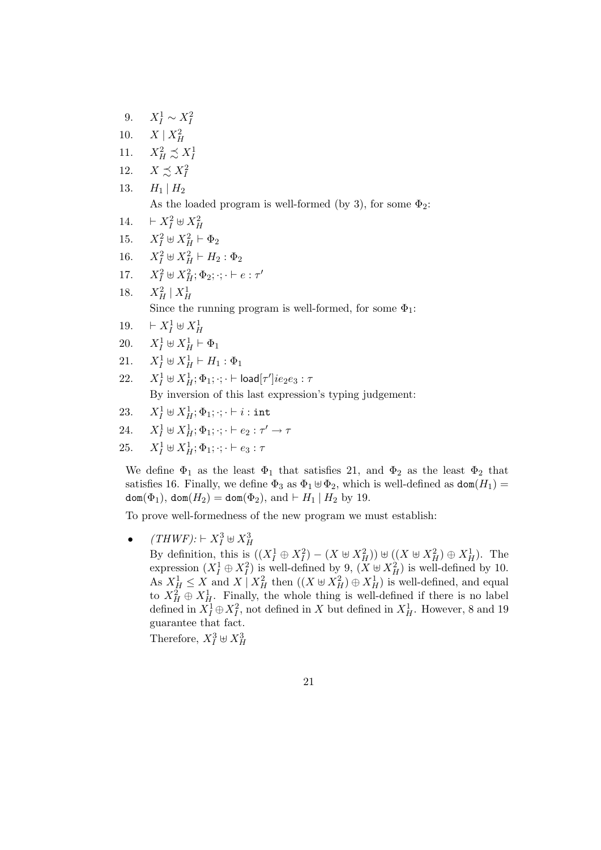\n- \n 9. 
$$
X_I^1 \sim X_I^2
$$
\n
\n- \n 10.  $X \mid X_H^2$ \n
\n- \n 11.  $X_H^2 \preceq X_I^1$ \n
\n- \n 12.  $X \preceq X_I^2$ \n
\n- \n 13.  $H_1 \mid H_2$ \n As the loaded program is well-formed (by 3), for some  $\Phi_2$ :\n
\n- \n 14.  $\vdash X_I^2 \uplus X_H^2$ \n
\n- \n 15.  $X_I^2 \uplus X_H^2 \vdash \Phi_2$ \n
\n- \n 16.  $X_I^2 \uplus X_H^2 \vdash H_2 : \Phi_2$ \n
\n- \n 17.  $X_I^2 \uplus X_H^2 : \Phi_2; \dots \vdash e : \tau'$ \n
\n- \n 18.  $X_H^2 \mid X_H^1$ \n Since the running program is well-formed, for some  $\Phi_1$ :\n  $\vdash X_I^1 \uplus X_H^1$ \n
\n- \n 20.  $X_I^1 \uplus X_H^1 \vdash \Phi_1$ \n
\n- \n 21.  $X_I^1 \uplus X_H^1 \vdash H_1 : \Phi_1$ \n
\n- \n 22.  $X_I^1 \uplus X_H^1 \vdash H_1 : \Phi_1$ \n
\n- \n 23.  $X_I^1 \uplus X_H^1 \vdash H_1 : \Phi_1$ \n
\n- \n 24.  $X_I^1 \uplus X_H^1 \vdash H_1 : \Phi_1$ \n
\n- \n 25.  $X_I^1 \uplus X_H^1 \vdash H_1 : \Phi_1$ \n
\n

- 23.  $X_I^1 \uplus X_{H}^1; \Phi_1; \cdot; \cdot \vdash i : \texttt{int}$
- 24.  $X_I^1 \oplus X_H^1; \Phi_1; \cdot; \cdot \vdash e_2 : \tau' \to \tau$
- 25.  $X_I^1 \oplus X_{H}^1; \Phi_1; \cdot; \cdot \vdash e_3 : \tau$

We define  $\Phi_1$  as the least  $\Phi_1$  that satisfies 21, and  $\Phi_2$  as the least  $\Phi_2$  that satisfies 16. Finally, we define  $\Phi_3$  as  $\Phi_1 \oplus \Phi_2$ , which is well-defined as  $\text{dom}(H_1) =$  $\text{dom}(\Phi_1)$ ,  $\text{dom}(H_2) = \text{dom}(\Phi_2)$ , and  $\vdash H_1 \mid H_2$  by 19.

To prove well-formedness of the new program we must establish:

•  $(THWF): \vdash X_I^3 \uplus X_H^3$ 

By definition, this is  $((X_I^1 \oplus X_I^2) - (X \oplus X_H^2)) \oplus ((X \oplus X_H^2) \oplus X_H^1)$ . The expression  $(X_I^1 \oplus X_I^2)$  is well-defined by 9,  $(X \oplus X_H^2)$  is well-defined by 10. As  $X_H^1 \leq X$  and  $X \mid X_H^2$  then  $((X \oplus X_H^2) \oplus X_H^1)$  is well-defined, and equal to  $X_H^2 \oplus X_H^1$ . Finally, the whole thing is well-defined if there is no label defined in  $\tilde{X}_I^1 \oplus X_I^2$ , not defined in X but defined in  $X_H^1$ . However, 8 and 19 guarantee that fact.

Therefore,  $X_I^3 \oplus X_H^3$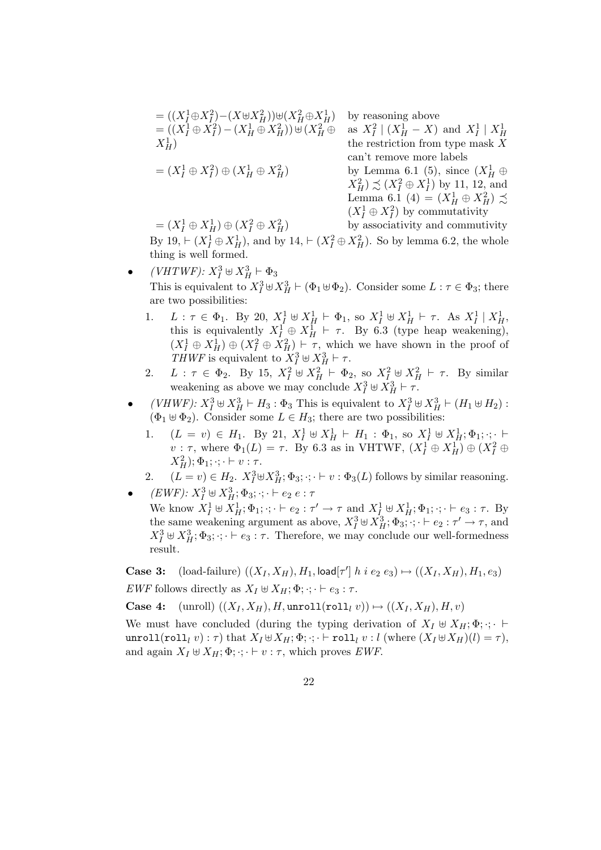$$
= ((X_I^1 \oplus X_I^2) - (X \oplus X_H^2)) \oplus (X_H^2 \oplus X_H^1)
$$
 by reasoning above  
\n
$$
= ((X_I^1 \oplus X_I^2) - (X_H^1 \oplus X_H^2)) \oplus (X_H^2 \oplus \text{ as } X_I^2 \mid (X_H^1 - X) \text{ and } X_I^1 \mid X_H^1
$$
\nthe restriction from type mask X  
\n
$$
= (X_I^1 \oplus X_I^2) \oplus (X_H^1 \oplus X_H^2)
$$
\n
$$
= (X_I^1 \oplus X_I^2) \oplus (X_H^1 \oplus X_H^2)
$$
\n
$$
= (X_I^1 \oplus X_H^1) \oplus (X_I^2 \oplus X_H^2)
$$
\n
$$
= (X_I^1 \oplus X_H^1) \oplus (X_I^2 \oplus X_H^2)
$$
\nby associativity and commutivity  
\nby associativity and commutivity  
\nby associativity and commutivity

by associativity and commutivity By 19,  $\vdash (X_I^1 \oplus X_H^1)$ , and by 14,  $\vdash (X_I^2 \oplus X_H^2)$ . So by lemma 6.2, the whole thing is well formed.

- $(VHTWF): X_I^3 \oplus X_H^3 \vdash \Phi_3$ This is equivalent to  $X_I^3 \oplus X_H^3 \vdash (\Phi_1 \oplus \Phi_2)$ . Consider some  $L : \tau \in \Phi_3$ ; there are two possibilities:
	- 1.  $L: \tau \in \Phi_1$ . By 20,  $X_I^1 \uplus X_H^1 \vdash \Phi_1$ , so  $X_I^1 \uplus X_H^1 \vdash \tau$ . As  $X_I^1 \mid X_H^1$ , this is equivalently  $X_I^{\hat{1}} \oplus X_{H}^{\hat{1}} \vdash \tau$ . By 6.3 (type heap weakening),  $(X_I^1 \oplus X_H^1) \oplus (X_I^2 \oplus X_H^2) \vdash \tau$ , which we have shown in the proof of THWF is equivalent to  $X_I^3 \oplus X_H^3 \vdash \tau$ .
	- 2.  $L: \tau \in \Phi_2$ . By 15,  $X_I^2 \oplus X_H^2 \vdash \Phi_2$ , so  $X_I^2 \oplus X_H^2 \vdash \tau$ . By similar weakening as above we may conclude  $X_I^3 \oplus \overline{X_H^3} \vdash \overline{\tau}$ .
- (*VHWF)*:  $X_I^3 \oplus X_{H}^3 \vdash H_3 : \Phi_3$  This is equivalent to  $X_I^3 \oplus X_{H}^3 \vdash (H_1 \oplus H_2)$ :  $(\Phi_1 \oplus \Phi_2)$ . Consider some  $L \in H_3$ ; there are two possibilities:
	- 1.  $(L = v) \in H_1$ . By 21,  $X_I^1 \oplus X_H^1 \vdash H_1 : \Phi_1$ , so  $X_I^1 \oplus X_H^1$ ;  $\Phi_1$ ; ::  $\vdash$  $v : \tau$ , where  $\Phi_1(L) = \tau$ . By 6.3 as in VHTWF,  $(X_I^1 \oplus X_H^1) \oplus (X_I^2 \oplus Y_H^1)$  $(X_H^2); \Phi_1; \cdot; \cdot \vdash v : \tau.$
- 2.  $(L = v) \in H_2$ .  $X_I^3 \oplus X_H^3$ ;  $\Phi_3$ ;  $\cdot$ ;  $\vdash v : \Phi_3(L)$  follows by similar reasoning. •  $(EWF): X_I^3 \uplus X_{H}^3; \Phi_3; \cdot; \cdot \vdash e_2 \ e : \tau$ 
	- We know  $X_I^1 \uplus X_H^1$ ;  $\Phi_1$ ;  $\cdot$ ;  $\cdot \vdash e_2 : \tau' \to \tau$  and  $X_I^1 \uplus X_H^1$ ;  $\Phi_1$ ;  $\cdot$ ;  $\cdot \vdash e_3 : \tau$ . By the same weakening argument as above,  $X_I^3 \oplus X_{II}^3$ ;  $\Phi_3$ ;  $\cdot$ ;  $\cdot \vdash e_2 : \tau' \rightarrow \tau$ , and  $X_I^3 \oplus X_{II}^3$ ;  $\Phi_3$ ;  $\cdot$ ;  $\cdot \vdash e_3$ :  $\tau$ . Therefore, we may conclude our well-formedness result.

**Case 3:** (load-failure)  $((X_I, X_H), H_1, \text{load}[\tau'] h \text{ i } e_2 e_3) \mapsto ((X_I, X_H), H_1, e_3)$ EWF follows directly as  $X_I \oplus X_H$ ;  $\Phi$ ;  $\cdot$ ;  $\cdot \vdash e_3 : \tau$ .

Case 4:  $(\text{unroll}) ((X_I, X_H), H, \text{unroll}(\text{roll}_l v)) \mapsto ((X_I, X_H), H, v)$ 

We must have concluded (during the typing derivation of  $X_I \oplus X_H$ ;  $\Phi$ ;  $\cdot$ ;  $\cdot$ unroll(roll<sub>l</sub> v):  $\tau$ ) that  $X_I \oplus X_H$ ;  $\Phi$ ;  $\cdot$ ;  $\cdot$   $\vdash$  roll<sub>l</sub> v : l (where  $(X_I \oplus X_H)(l) = \tau$ ), and again  $X_I \oplus X_H$ ;  $\Phi$ ;  $\cdot$ ;  $\vdash v : \tau$ , which proves *EWF*.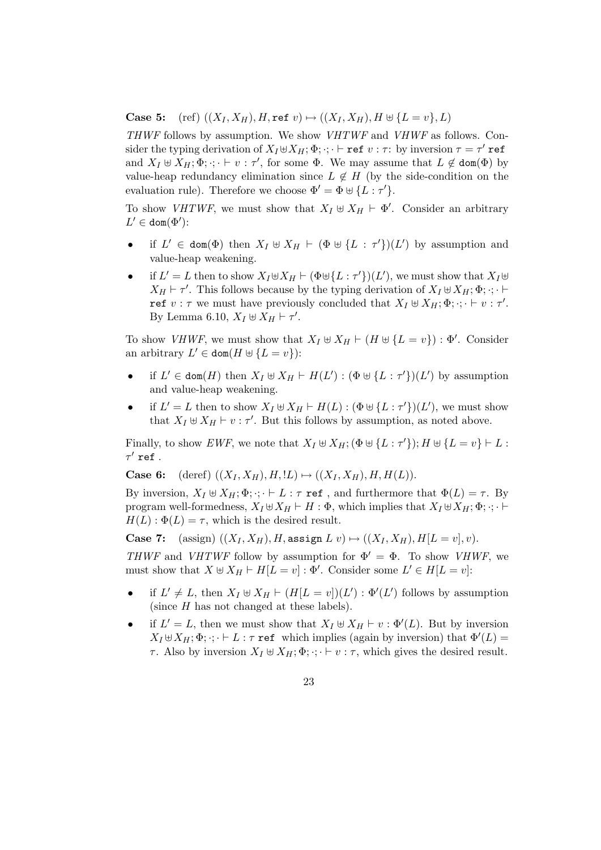**Case 5:** (ref)  $((X_I, X_H), H, \text{ref } v) \mapsto ((X_I, X_H), H \uplus \{L = v\}, L)$ 

THWF follows by assumption. We show VHTWF and VHWF as follows. Consider the typing derivation of  $X_I \uplus X_H$ ;  $\Phi$ ;  $\cdot$ ;  $\vdash$  ref  $v : \tau$ : by inversion  $\tau = \tau'$  ref and  $X_I \uplus X_H$ ;  $\Phi$ ;  $\cdot$ ;  $\vdash v : \tau'$ , for some  $\Phi$ . We may assume that  $L \not\in \text{dom}(\Phi)$  by value-heap redundancy elimination since  $L \notin H$  (by the side-condition on the evaluation rule). Therefore we choose  $\Phi' = \Phi \uplus {\{L : \tau'\}}$ .

To show *VHTWF*, we must show that  $X_I \oplus X_H \vdash \Phi'$ . Consider an arbitrary  $L' \in \text{dom}(\Phi')$ :

- if  $L' \in \text{dom}(\Phi)$  then  $X_I \oplus X_H \vdash (\Phi \oplus \{L : \tau'\}) (L')$  by assumption and value-heap weakening.
- if  $L' = L$  then to show  $X_I \oplus X_H \vdash (\Phi \oplus \{L : \tau'\}) (L')$ , we must show that  $X_I \oplus$  $X_H \vdash \tau'$ . This follows because by the typing derivation of  $X_I \uplus X_H$ ;  $\Phi$ ;  $\cdot$ ;  $\vdash$ ref  $v : \tau$  we must have previously concluded that  $X_I \oplus X_{H}$ ;  $\Phi$ ;  $\cdot$ ;  $\vdash v : \tau'$ . By Lemma 6.10,  $X_I \uplus \overline{X}_H \vdash \tau'.$

To show *VHWF*, we must show that  $X_I \oplus X_H \vdash (H \oplus \{L = v\}) : \Phi'$ . Consider an arbitrary  $L' \in \text{dom}(H \cup \{L = v\})$ :

- if  $L' \in \text{dom}(H)$  then  $X_I \oplus X_H \vdash H(L') : (\Phi \oplus \{L : \tau'\})(L')$  by assumption and value-heap weakening.
- if  $L' = L$  then to show  $X_I \oplus X_H \vdash H(L) : (\Phi \oplus \{L : \tau'\})(L'),$  we must show that  $X_I \oplus X_H \vdash v : \tau'$ . But this follows by assumption, as noted above.

Finally, to show EWF, we note that  $X_I \oplus X_{H}$ ;  $(\Phi \oplus \{L : \tau'\})$ ;  $H \oplus \{L = v\} \vdash L$ :  $\tau'$  ref .

**Case 6:** (deref)  $((X_I, X_H), H, L) \mapsto ((X_I, X_H), H, H(L)).$ 

By inversion,  $X_I \oplus X_H$ ;  $\Phi$ ;  $\cdot$ ;  $\cdot \vdash L$  :  $\tau$  ref , and furthermore that  $\Phi(L) = \tau$ . By program well-formedness,  $X_I \oplus X_H \vdash H : \Phi$ , which implies that  $X_I \oplus X_H$ ;  $\Phi$ ;  $\cdot \cdot \vdash$  $H(L): \Phi(L) = \tau$ , which is the desired result.

Case 7: (assign)  $((X_I, X_H), H$ , assign  $L v) \mapsto ((X_I, X_H), H[L = v], v)$ . THWF and VHTWF follow by assumption for  $\Phi' = \Phi$ . To show VHWF, we must show that  $X \uplus X_H \vdash H[L = v] : \Phi'.$  Consider some  $L' \in H[L = v]$ :

- if  $L' \neq L$ , then  $X_I \oplus X_H \vdash (H[L = v])(L') : \Phi'(L')$  follows by assumption (since  $H$  has not changed at these labels).
- if  $L' = L$ , then we must show that  $X_I \oplus X_H \vdash v : \Phi'(L)$ . But by inversion  $X_I \uplus X_H$ ;  $\Phi$ ;  $\cdot$ ;  $\cdot \vdash L$ :  $\tau$  ref which implies (again by inversion) that  $\Phi'(L)$  =  $\tau$ . Also by inversion  $X_I \oplus X_H; \Phi$ ;  $\cdot; \cdot \vdash v : \tau$ , which gives the desired result.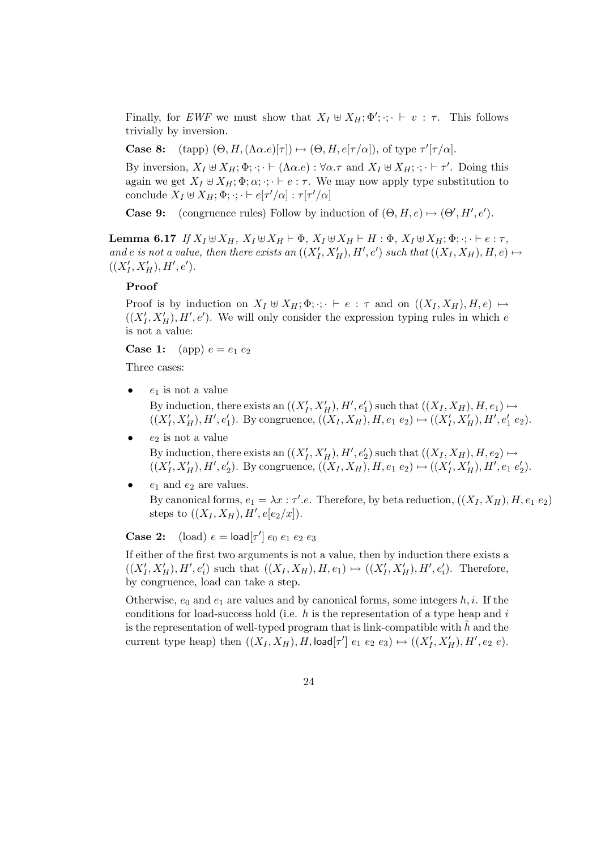Finally, for EWF we must show that  $X_I \oplus X_H$ ;  $\Phi'$ ;  $\cdot$ ;  $\vdash v : \tau$ . This follows trivially by inversion.

**Case 8:** (tapp)  $(\Theta, H, (\Lambda \alpha . e) \vert \tau \vert) \mapsto (\Theta, H, e \vert \tau / \alpha \vert)$ , of type  $\tau' \vert \tau / \alpha \vert$ .

By inversion,  $X_I \uplus X_H$ ;  $\Phi$ ;  $\cdot$ ;  $\cdot \vdash (\Lambda \alpha.e) : \forall \alpha.\tau$  and  $X_I \uplus X_H$ ;  $\cdot$ ;  $\cdot \vdash \tau'$ . Doing this again we get  $X_I \oplus X_H$ ;  $\Phi$ ;  $\alpha$ ;  $\cdot$ ;  $\vdash e : \tau$ . We may now apply type substitution to conclude  $X_I \uplus X_H; \Phi; \cdot; \cdot \vdash e[\tau'/\alpha] : \tau[\tau'/\alpha]$ 

**Case 9:** (congruence rules) Follow by induction of  $(\Theta, H, e) \mapsto (\Theta', H', e')$ .

Lemma 6.17 If  $X_I \boxplus X_H$ ,  $X_I \boxplus X_H \vdash \Phi$ ,  $X_I \boxplus X_H \vdash H : \Phi$ ,  $X_I \boxplus X_H; \Phi$ ;  $\cdot; \cdot \vdash e : \tau$ , and e is not a value, then there exists an  $((X'_I, X'_H), H', e')$  such that  $((X_I, X_H), H, e) \mapsto$  $((X'_I, X'_H), H', e').$ 

## Proof

Proof is by induction on  $X_I \oplus X_H$ ;  $\Phi$ ;  $\cdot \cdot \cdot$  + e :  $\tau$  and on  $((X_I, X_H), H, e) \mapsto$  $((X'_I, X'_H), H', e')$ . We will only consider the expression typing rules in which e is not a value:

**Case 1:** (app)  $e = e_1 e_2$ 

Three cases:

- $e_1$  is not a value By induction, there exists an  $((X'_I, X'_H), H', e'_1)$  such that  $((X_I, X_H), H, e_1) \mapsto$  $((X'_I, X'_H), H', e'_1)$ . By congruence,  $((X_I, X_H), H, e_1 e_2) \mapsto ((X'_I, X'_H), H', e'_1 e_2)$ .
- $e_2$  is not a value By induction, there exists an  $((X'_I, X'_H), H', e'_2)$  such that  $((X_I, X_H), H, e_2) \mapsto$  $((X'_I, X'_H), H', e'_2)$ . By congruence,  $((X_I, X_H), H, e_1 e_2) \mapsto ((X'_I, X'_H), H', e_1 e'_2)$  $t'_{2}$ ).
- $e_1$  and  $e_2$  are values. By canonical forms,  $e_1 = \lambda x : \tau'.e$ . Therefore, by beta reduction,  $((X_I, X_H), H, e_1, e_2)$ steps to  $((X_I, X_H), H', e[e_2/x]).$

**Case 2:** (load)  $e = \text{load}[\tau'] e_0 e_1 e_2 e_3$ 

If either of the first two arguments is not a value, then by induction there exists a  $((X'_I, X'_H), H', e'_i)$  such that  $((X_I, X_H), H, e_1) \mapsto ((X'_I, X'_H), H', e'_i)$ . Therefore, by congruence, load can take a step.

Otherwise,  $e_0$  and  $e_1$  are values and by canonical forms, some integers h, i. If the conditions for load-success hold (i.e.  $h$  is the representation of a type heap and i is the representation of well-typed program that is link-compatible with  $h$  and the current type heap) then  $((X_I, X_H), H, \text{load}[\tau'] \ e_1 \ e_2 \ e_3) \mapsto ((X_I', X_H'), H', e_2 \ e).$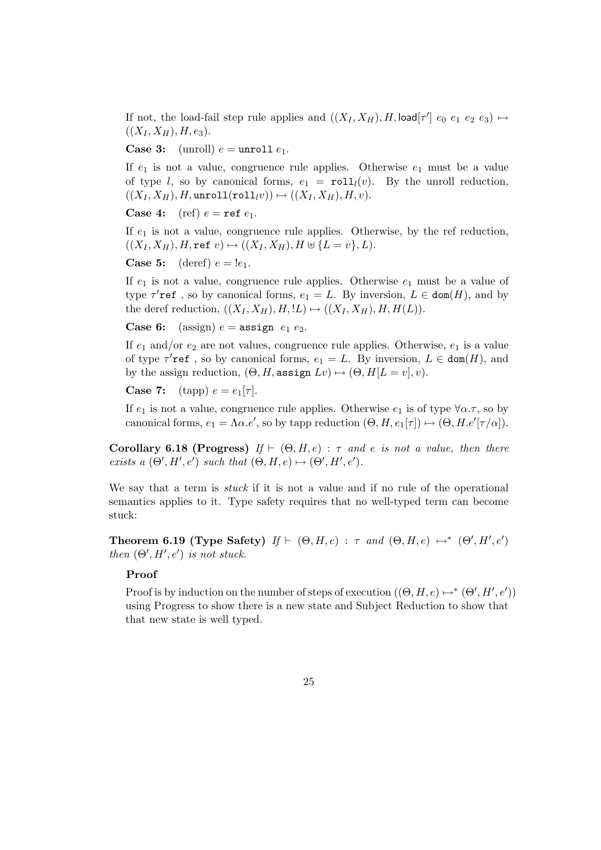If not, the load-fail step rule applies and  $((X_I, X_H), H, \text{load}[\tau']$   $e_0$   $e_1$   $e_2$   $e_3$ )  $\mapsto$  $((X_I, X_H), H, e_3).$ 

**Case 3:** (unroll)  $e =$  unroll  $e_1$ .

If  $e_1$  is not a value, congruence rule applies. Otherwise  $e_1$  must be a value of type l, so by canonical forms,  $e_1 = \text{roll}_l(v)$ . By the unroll reduction,  $((X_I, X_H), H,$ unroll $(\text{roll}_{l}v)) \mapsto ((X_I, X_H), H, v).$ 

**Case 4:** (ref)  $e = \text{ref } e_1$ .

If  $e_1$  is not a value, congruence rule applies. Otherwise, by the ref reduction,  $((X_I, X_H), H, \text{ref } v) \mapsto ((X_I, X_H), H \uplus \{L = v\}, L).$ 

**Case 5:** (deref)  $e = |e_1|$ .

If  $e_1$  is not a value, congruence rule applies. Otherwise  $e_1$  must be a value of type  $\tau'$ **ref**, so by canonical forms,  $e_1 = L$ . By inversion,  $L \in \text{dom}(H)$ , and by the deref reduction,  $((X_I, X_H), H, L) \mapsto ((X_I, X_H), H, H(L)).$ 

**Case 6:** (assign)  $e = \text{assign } e_1 e_2$ .

If  $e_1$  and/or  $e_2$  are not values, congruence rule applies. Otherwise,  $e_1$  is a value of type  $\tau'$ ref, so by canonical forms,  $e_1 = L$ . By inversion,  $L \in \text{dom}(H)$ , and by the assign reduction,  $(\Theta, H$ , assign  $Lv$ )  $\mapsto (\Theta, H[L = v], v)$ .

**Case 7:** (tapp)  $e = e_1[\tau]$ .

If  $e_1$  is not a value, congruence rule applies. Otherwise  $e_1$  is of type  $\forall \alpha.\tau$ , so by canonical forms,  $e_1 = \Lambda \alpha e'$ , so by tapp reduction  $(\Theta, H, e_1[\tau]) \mapsto (\Theta, H, e'[\tau/\alpha])$ .

Corollary 6.18 (Progress) If  $\vdash (\Theta, H, e) : \tau$  and e is not a value, then there exists a  $(\Theta', H', e')$  such that  $(\Theta, H, e) \mapsto (\Theta', H', e').$ 

We say that a term is *stuck* if it is not a value and if no rule of the operational semantics applies to it. Type safety requires that no well-typed term can become stuck:

Theorem 6.19 (Type Safety)  $If \vdash (\Theta, H, e) : \tau$  and  $(\Theta, H, e) \mapsto^* (\Theta', H', e')$ then  $(\Theta', H', e')$  is not stuck.

## Proof

Proof is by induction on the number of steps of execution  $((\Theta, H, e) \mapsto^* (\Theta', H', e'))$ using Progress to show there is a new state and Subject Reduction to show that that new state is well typed.